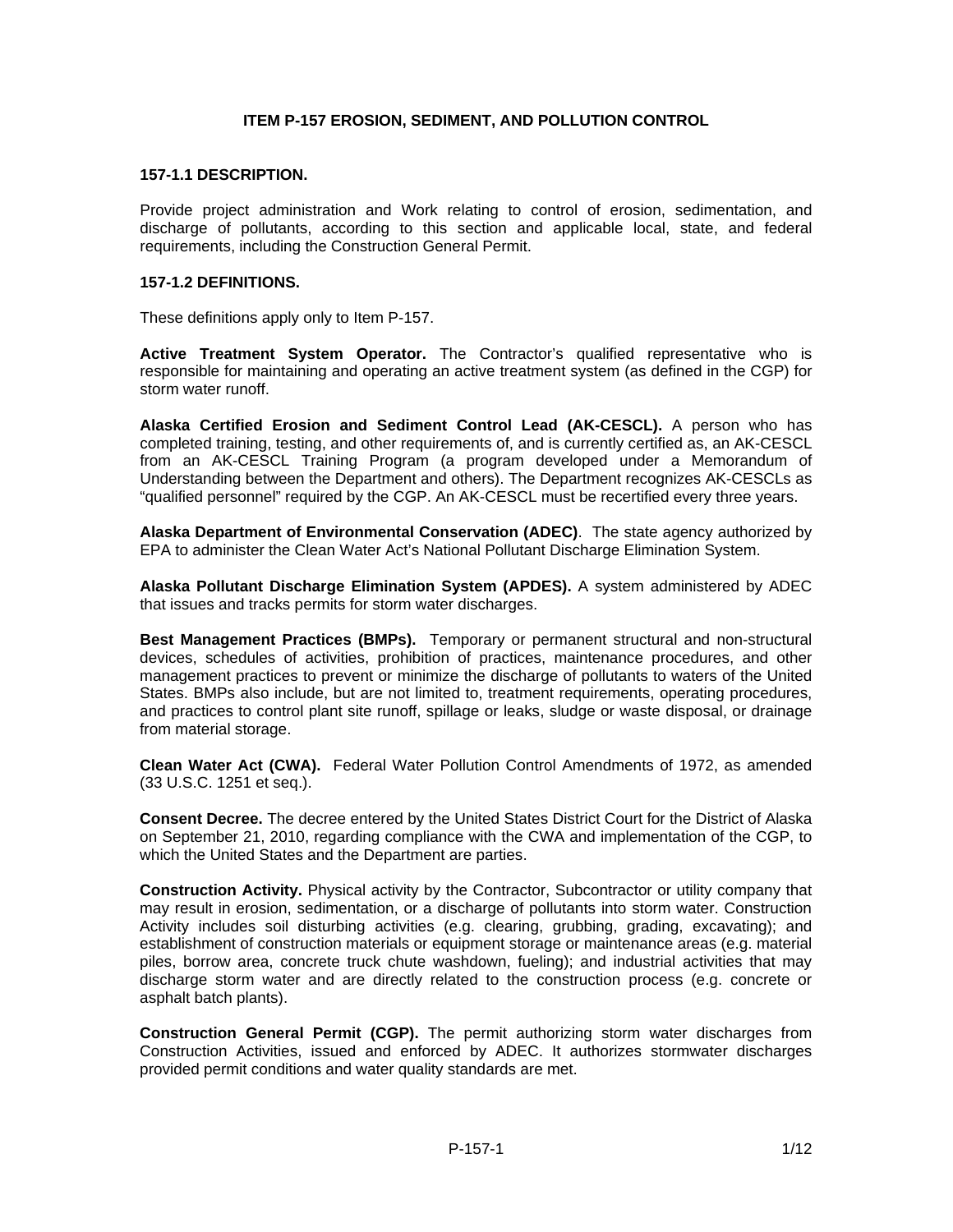## **ITEM P-157 EROSION, SEDIMENT, AND POLLUTION CONTROL**

#### **157-1.1 DESCRIPTION.**

Provide project administration and Work relating to control of erosion, sedimentation, and discharge of pollutants, according to this section and applicable local, state, and federal requirements, including the Construction General Permit.

## **157-1.2 DEFINITIONS.**

These definitions apply only to Item P-157.

**Active Treatment System Operator.** The Contractor's qualified representative who is responsible for maintaining and operating an active treatment system (as defined in the CGP) for storm water runoff.

**Alaska Certified Erosion and Sediment Control Lead (AK-CESCL).** A person who has completed training, testing, and other requirements of, and is currently certified as, an AK-CESCL from an AK-CESCL Training Program (a program developed under a Memorandum of Understanding between the Department and others). The Department recognizes AK-CESCLs as "qualified personnel" required by the CGP. An AK-CESCL must be recertified every three years.

**Alaska Department of Environmental Conservation (ADEC)**. The state agency authorized by EPA to administer the Clean Water Act's National Pollutant Discharge Elimination System.

**Alaska Pollutant Discharge Elimination System (APDES).** A system administered by ADEC that issues and tracks permits for storm water discharges.

**Best Management Practices (BMPs).** Temporary or permanent structural and non-structural devices, schedules of activities, prohibition of practices, maintenance procedures, and other management practices to prevent or minimize the discharge of pollutants to waters of the United States. BMPs also include, but are not limited to, treatment requirements, operating procedures, and practices to control plant site runoff, spillage or leaks, sludge or waste disposal, or drainage from material storage.

**Clean Water Act (CWA).** Federal Water Pollution Control Amendments of 1972, as amended (33 U.S.C. 1251 et seq.).

**Consent Decree.** The decree entered by the United States District Court for the District of Alaska on September 21, 2010, regarding compliance with the CWA and implementation of the CGP, to which the United States and the Department are parties.

**Construction Activity.** Physical activity by the Contractor, Subcontractor or utility company that may result in erosion, sedimentation, or a discharge of pollutants into storm water. Construction Activity includes soil disturbing activities (e.g. clearing, grubbing, grading, excavating); and establishment of construction materials or equipment storage or maintenance areas (e.g. material piles, borrow area, concrete truck chute washdown, fueling); and industrial activities that may discharge storm water and are directly related to the construction process (e.g. concrete or asphalt batch plants).

**Construction General Permit (CGP).** The permit authorizing storm water discharges from Construction Activities, issued and enforced by ADEC. It authorizes stormwater discharges provided permit conditions and water quality standards are met.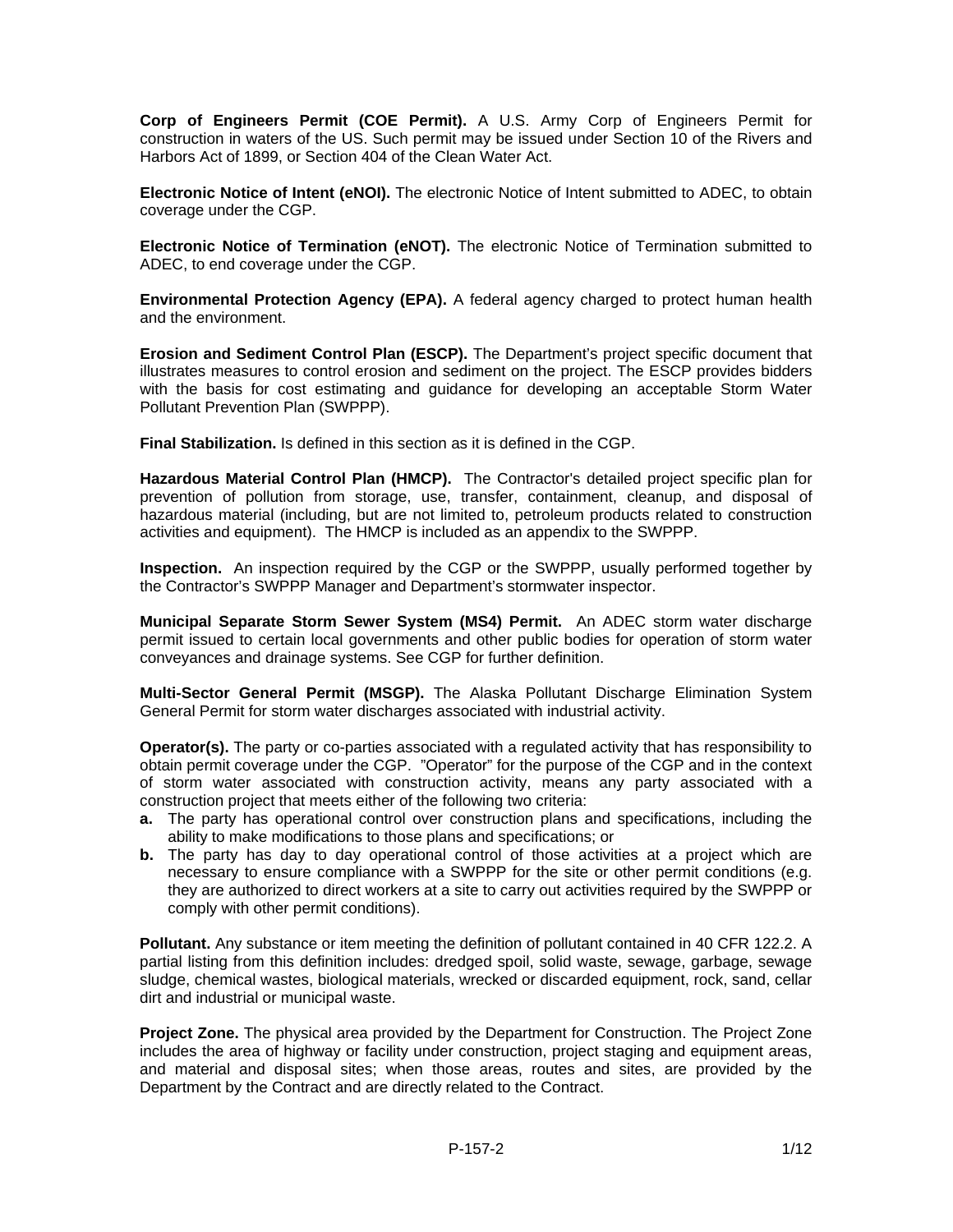**Corp of Engineers Permit (COE Permit).** A U.S. Army Corp of Engineers Permit for construction in waters of the US. Such permit may be issued under Section 10 of the Rivers and Harbors Act of 1899, or Section 404 of the Clean Water Act.

**Electronic Notice of Intent (eNOI).** The electronic Notice of Intent submitted to ADEC, to obtain coverage under the CGP.

**Electronic Notice of Termination (eNOT).** The electronic Notice of Termination submitted to ADEC, to end coverage under the CGP.

**Environmental Protection Agency (EPA).** A federal agency charged to protect human health and the environment.

**Erosion and Sediment Control Plan (ESCP).** The Department's project specific document that illustrates measures to control erosion and sediment on the project. The ESCP provides bidders with the basis for cost estimating and guidance for developing an acceptable Storm Water Pollutant Prevention Plan (SWPPP).

**Final Stabilization.** Is defined in this section as it is defined in the CGP.

**Hazardous Material Control Plan (HMCP).** The Contractor's detailed project specific plan for prevention of pollution from storage, use, transfer, containment, cleanup, and disposal of hazardous material (including, but are not limited to, petroleum products related to construction activities and equipment). The HMCP is included as an appendix to the SWPPP.

**Inspection.** An inspection required by the CGP or the SWPPP, usually performed together by the Contractor's SWPPP Manager and Department's stormwater inspector.

**Municipal Separate Storm Sewer System (MS4) Permit.** An ADEC storm water discharge permit issued to certain local governments and other public bodies for operation of storm water conveyances and drainage systems. See CGP for further definition.

**Multi-Sector General Permit (MSGP).** The Alaska Pollutant Discharge Elimination System General Permit for storm water discharges associated with industrial activity.

**Operator(s).** The party or co-parties associated with a regulated activity that has responsibility to obtain permit coverage under the CGP. "Operator" for the purpose of the CGP and in the context of storm water associated with construction activity, means any party associated with a construction project that meets either of the following two criteria:

- **a.** The party has operational control over construction plans and specifications, including the ability to make modifications to those plans and specifications; or
- **b.** The party has day to day operational control of those activities at a project which are necessary to ensure compliance with a SWPPP for the site or other permit conditions (e.g. they are authorized to direct workers at a site to carry out activities required by the SWPPP or comply with other permit conditions).

**Pollutant.** Any substance or item meeting the definition of pollutant contained in 40 CFR 122.2. A partial listing from this definition includes: dredged spoil, solid waste, sewage, garbage, sewage sludge, chemical wastes, biological materials, wrecked or discarded equipment, rock, sand, cellar dirt and industrial or municipal waste.

**Project Zone.** The physical area provided by the Department for Construction. The Project Zone includes the area of highway or facility under construction, project staging and equipment areas, and material and disposal sites; when those areas, routes and sites, are provided by the Department by the Contract and are directly related to the Contract.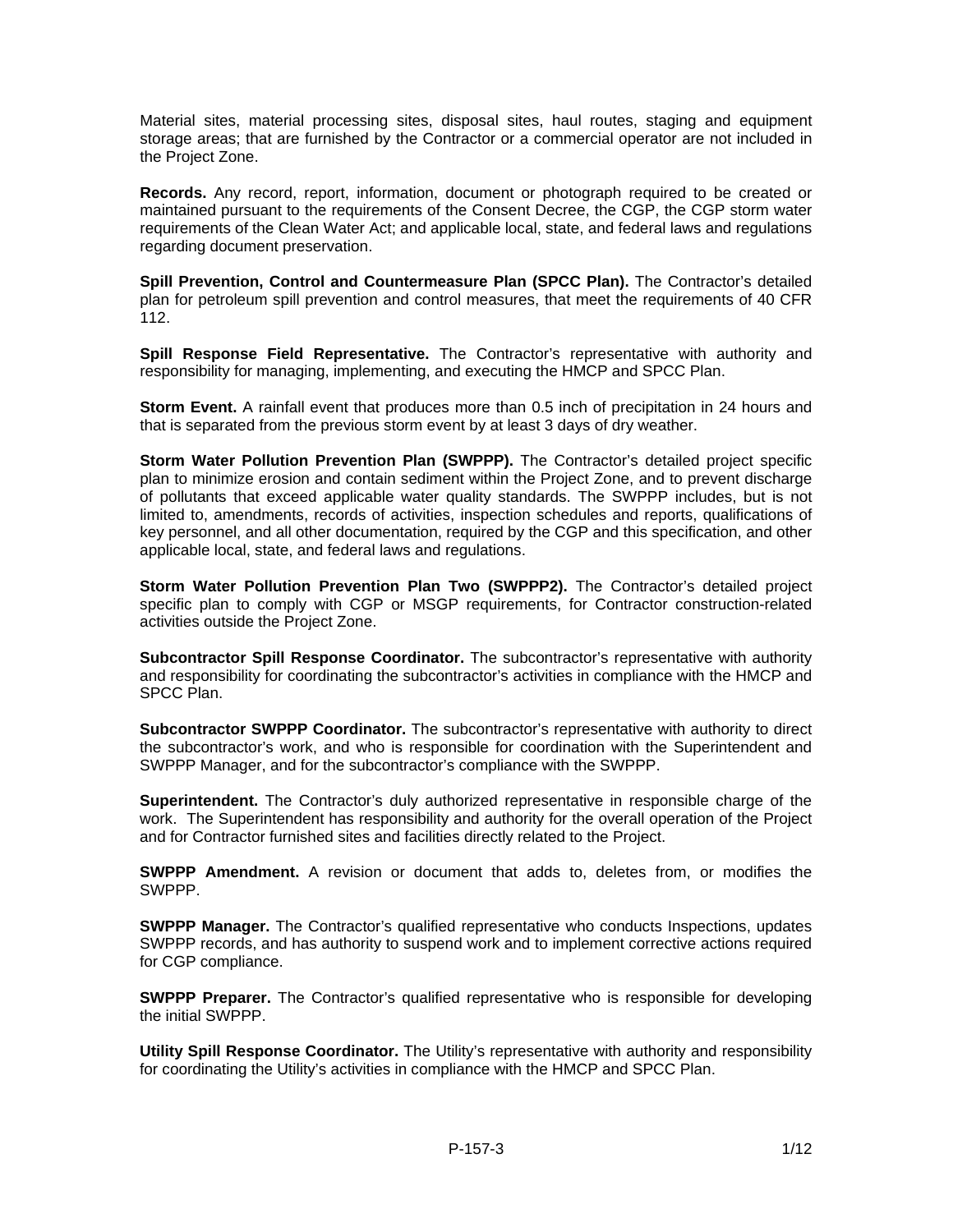Material sites, material processing sites, disposal sites, haul routes, staging and equipment storage areas; that are furnished by the Contractor or a commercial operator are not included in the Project Zone.

**Records.** Any record, report, information, document or photograph required to be created or maintained pursuant to the requirements of the Consent Decree, the CGP, the CGP storm water requirements of the Clean Water Act; and applicable local, state, and federal laws and regulations regarding document preservation.

**Spill Prevention, Control and Countermeasure Plan (SPCC Plan).** The Contractor's detailed plan for petroleum spill prevention and control measures, that meet the requirements of 40 CFR 112.

**Spill Response Field Representative.** The Contractor's representative with authority and responsibility for managing, implementing, and executing the HMCP and SPCC Plan.

**Storm Event.** A rainfall event that produces more than 0.5 inch of precipitation in 24 hours and that is separated from the previous storm event by at least 3 days of dry weather.

**Storm Water Pollution Prevention Plan (SWPPP).** The Contractor's detailed project specific plan to minimize erosion and contain sediment within the Project Zone, and to prevent discharge of pollutants that exceed applicable water quality standards. The SWPPP includes, but is not limited to, amendments, records of activities, inspection schedules and reports, qualifications of key personnel, and all other documentation, required by the CGP and this specification, and other applicable local, state, and federal laws and regulations.

**Storm Water Pollution Prevention Plan Two (SWPPP2).** The Contractor's detailed project specific plan to comply with CGP or MSGP requirements, for Contractor construction-related activities outside the Project Zone.

**Subcontractor Spill Response Coordinator.** The subcontractor's representative with authority and responsibility for coordinating the subcontractor's activities in compliance with the HMCP and SPCC Plan.

**Subcontractor SWPPP Coordinator.** The subcontractor's representative with authority to direct the subcontractor's work, and who is responsible for coordination with the Superintendent and SWPPP Manager, and for the subcontractor's compliance with the SWPPP.

**Superintendent.** The Contractor's duly authorized representative in responsible charge of the work. The Superintendent has responsibility and authority for the overall operation of the Project and for Contractor furnished sites and facilities directly related to the Project.

**SWPPP Amendment.** A revision or document that adds to, deletes from, or modifies the SWPPP.

**SWPPP Manager.** The Contractor's qualified representative who conducts Inspections, updates SWPPP records, and has authority to suspend work and to implement corrective actions required for CGP compliance.

**SWPPP Preparer.** The Contractor's qualified representative who is responsible for developing the initial SWPPP.

**Utility Spill Response Coordinator.** The Utility's representative with authority and responsibility for coordinating the Utility's activities in compliance with the HMCP and SPCC Plan.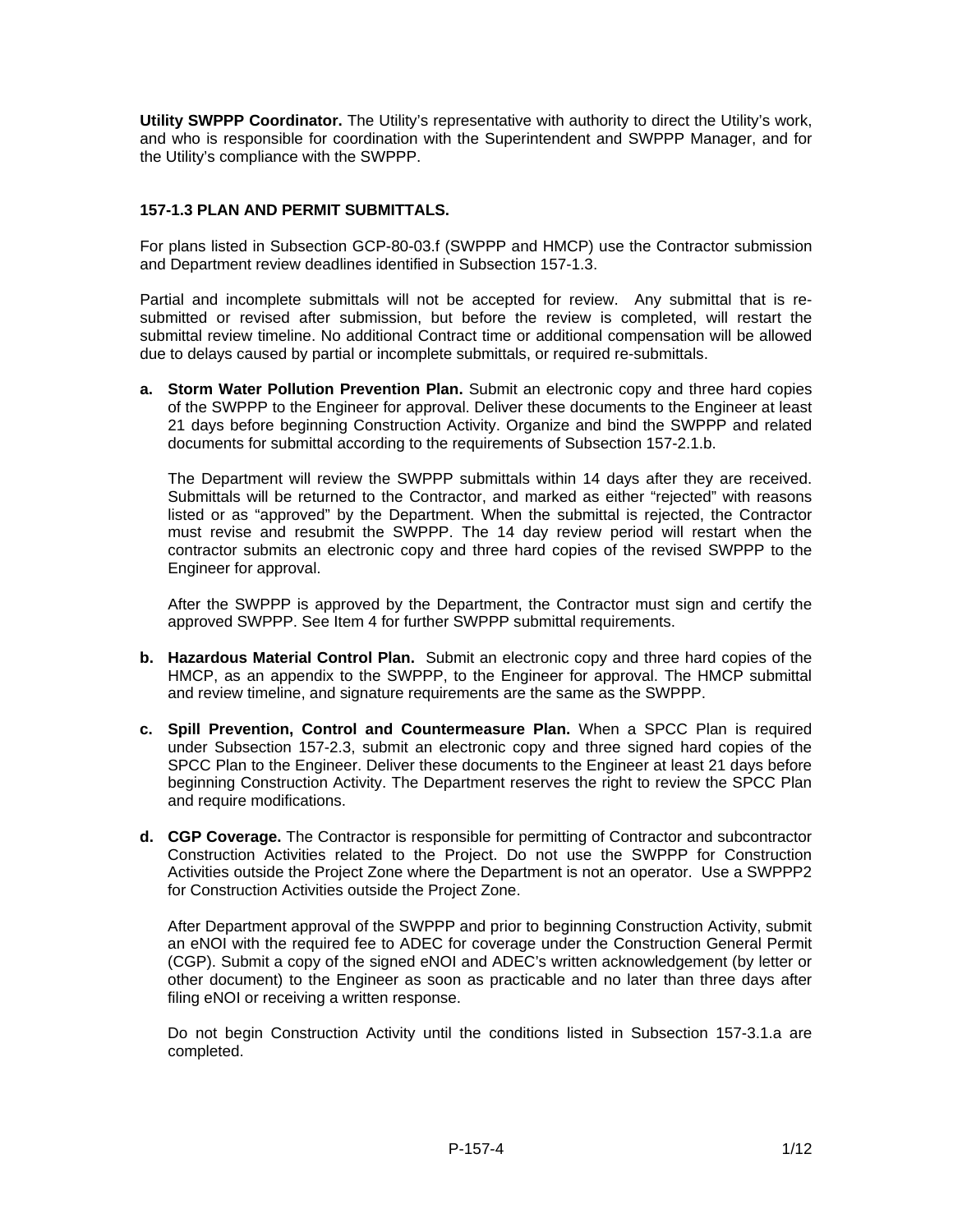**Utility SWPPP Coordinator.** The Utility's representative with authority to direct the Utility's work, and who is responsible for coordination with the Superintendent and SWPPP Manager, and for the Utility's compliance with the SWPPP.

# **157-1.3 PLAN AND PERMIT SUBMITTALS.**

For plans listed in Subsection GCP-80-03.f (SWPPP and HMCP) use the Contractor submission and Department review deadlines identified in Subsection 157-1.3.

Partial and incomplete submittals will not be accepted for review. Any submittal that is resubmitted or revised after submission, but before the review is completed, will restart the submittal review timeline. No additional Contract time or additional compensation will be allowed due to delays caused by partial or incomplete submittals, or required re-submittals.

**a. Storm Water Pollution Prevention Plan.** Submit an electronic copy and three hard copies of the SWPPP to the Engineer for approval. Deliver these documents to the Engineer at least 21 days before beginning Construction Activity. Organize and bind the SWPPP and related documents for submittal according to the requirements of Subsection 157-2.1.b.

The Department will review the SWPPP submittals within 14 days after they are received. Submittals will be returned to the Contractor, and marked as either "rejected" with reasons listed or as "approved" by the Department. When the submittal is rejected, the Contractor must revise and resubmit the SWPPP. The 14 day review period will restart when the contractor submits an electronic copy and three hard copies of the revised SWPPP to the Engineer for approval.

After the SWPPP is approved by the Department, the Contractor must sign and certify the approved SWPPP. See Item 4 for further SWPPP submittal requirements.

- **b. Hazardous Material Control Plan.** Submit an electronic copy and three hard copies of the HMCP, as an appendix to the SWPPP, to the Engineer for approval. The HMCP submittal and review timeline, and signature requirements are the same as the SWPPP.
- **c. Spill Prevention, Control and Countermeasure Plan.** When a SPCC Plan is required under Subsection 157-2.3, submit an electronic copy and three signed hard copies of the SPCC Plan to the Engineer. Deliver these documents to the Engineer at least 21 days before beginning Construction Activity. The Department reserves the right to review the SPCC Plan and require modifications.
- **d. CGP Coverage.** The Contractor is responsible for permitting of Contractor and subcontractor Construction Activities related to the Project. Do not use the SWPPP for Construction Activities outside the Project Zone where the Department is not an operator. Use a SWPPP2 for Construction Activities outside the Project Zone.

After Department approval of the SWPPP and prior to beginning Construction Activity, submit an eNOI with the required fee to ADEC for coverage under the Construction General Permit (CGP). Submit a copy of the signed eNOI and ADEC's written acknowledgement (by letter or other document) to the Engineer as soon as practicable and no later than three days after filing eNOI or receiving a written response.

Do not begin Construction Activity until the conditions listed in Subsection 157-3.1.a are completed.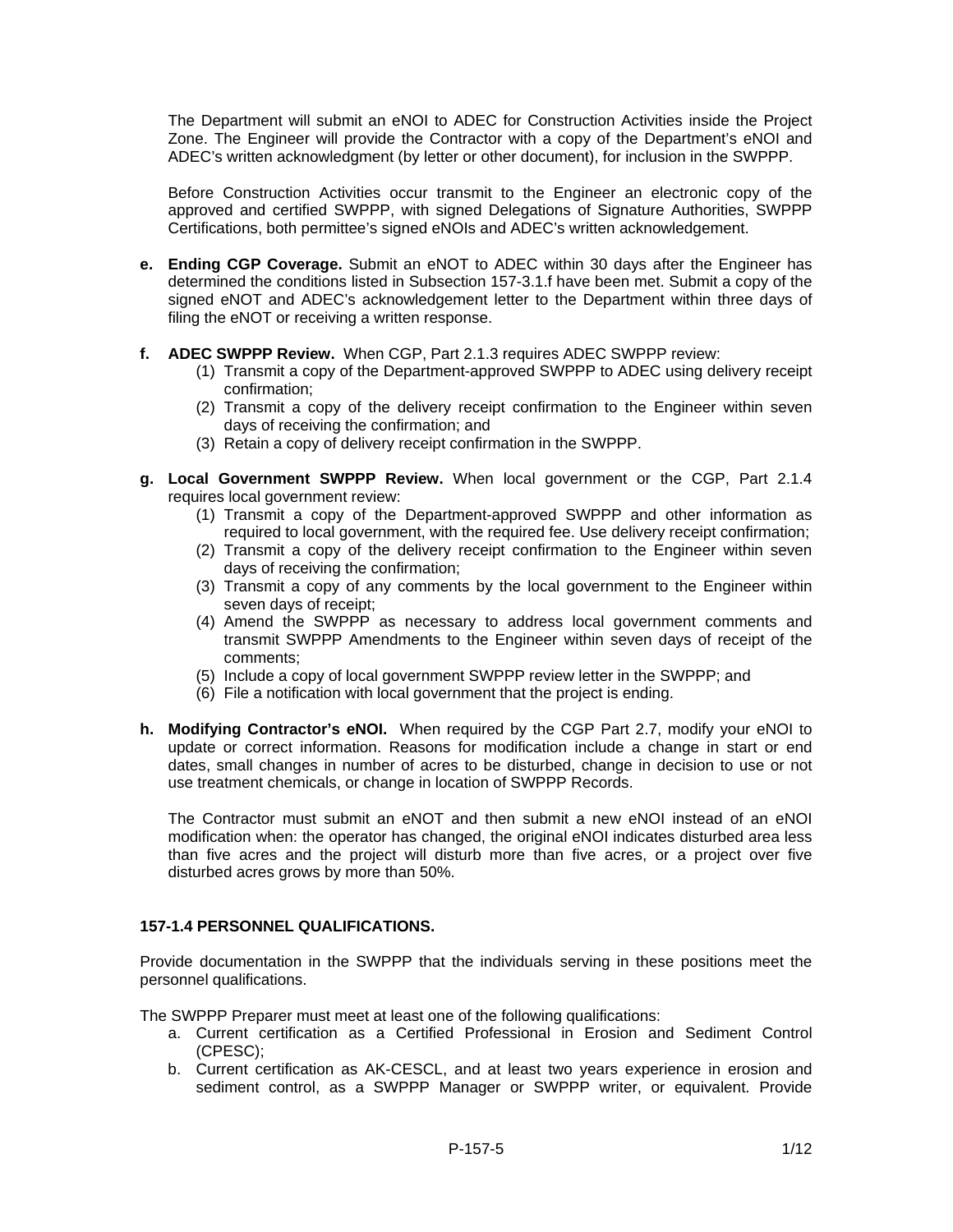The Department will submit an eNOI to ADEC for Construction Activities inside the Project Zone. The Engineer will provide the Contractor with a copy of the Department's eNOI and ADEC's written acknowledgment (by letter or other document), for inclusion in the SWPPP.

Before Construction Activities occur transmit to the Engineer an electronic copy of the approved and certified SWPPP, with signed Delegations of Signature Authorities, SWPPP Certifications, both permittee's signed eNOIs and ADEC's written acknowledgement.

- **e. Ending CGP Coverage.** Submit an eNOT to ADEC within 30 days after the Engineer has determined the conditions listed in Subsection 157-3.1.f have been met. Submit a copy of the signed eNOT and ADEC's acknowledgement letter to the Department within three days of filing the eNOT or receiving a written response.
- **f. ADEC SWPPP Review.** When CGP, Part 2.1.3 requires ADEC SWPPP review:
	- (1) Transmit a copy of the Department-approved SWPPP to ADEC using delivery receipt confirmation;
	- (2) Transmit a copy of the delivery receipt confirmation to the Engineer within seven days of receiving the confirmation; and
	- (3) Retain a copy of delivery receipt confirmation in the SWPPP.
- **g. Local Government SWPPP Review.** When local government or the CGP, Part 2.1.4 requires local government review:
	- (1) Transmit a copy of the Department-approved SWPPP and other information as required to local government, with the required fee. Use delivery receipt confirmation;
	- (2) Transmit a copy of the delivery receipt confirmation to the Engineer within seven days of receiving the confirmation;
	- (3) Transmit a copy of any comments by the local government to the Engineer within seven days of receipt;
	- (4) Amend the SWPPP as necessary to address local government comments and transmit SWPPP Amendments to the Engineer within seven days of receipt of the comments;
	- (5) Include a copy of local government SWPPP review letter in the SWPPP; and
	- (6) File a notification with local government that the project is ending.
- **h. Modifying Contractor's eNOI.** When required by the CGP Part 2.7, modify your eNOI to update or correct information. Reasons for modification include a change in start or end dates, small changes in number of acres to be disturbed, change in decision to use or not use treatment chemicals, or change in location of SWPPP Records.

The Contractor must submit an eNOT and then submit a new eNOI instead of an eNOI modification when: the operator has changed, the original eNOI indicates disturbed area less than five acres and the project will disturb more than five acres, or a project over five disturbed acres grows by more than 50%.

# **157-1.4 PERSONNEL QUALIFICATIONS.**

Provide documentation in the SWPPP that the individuals serving in these positions meet the personnel qualifications.

The SWPPP Preparer must meet at least one of the following qualifications:

- a. Current certification as a Certified Professional in Erosion and Sediment Control (CPESC);
- b. Current certification as AK-CESCL, and at least two years experience in erosion and sediment control, as a SWPPP Manager or SWPPP writer, or equivalent. Provide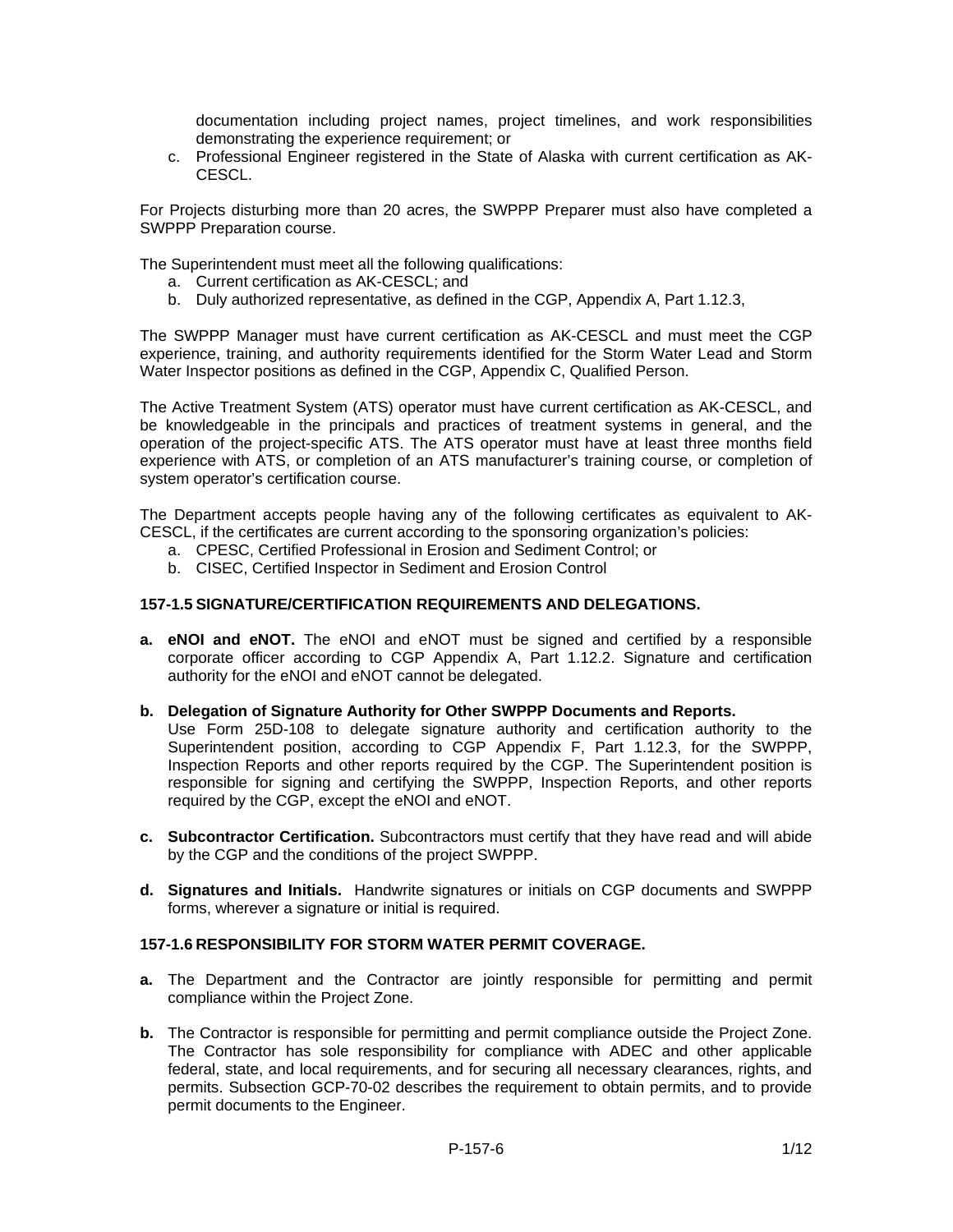documentation including project names, project timelines, and work responsibilities demonstrating the experience requirement; or

c. Professional Engineer registered in the State of Alaska with current certification as AK-CESCL.

For Projects disturbing more than 20 acres, the SWPPP Preparer must also have completed a SWPPP Preparation course.

The Superintendent must meet all the following qualifications:

- a. Current certification as AK-CESCL; and
- b. Duly authorized representative, as defined in the CGP, Appendix A, Part 1.12.3,

The SWPPP Manager must have current certification as AK-CESCL and must meet the CGP experience, training, and authority requirements identified for the Storm Water Lead and Storm Water Inspector positions as defined in the CGP, Appendix C, Qualified Person.

The Active Treatment System (ATS) operator must have current certification as AK-CESCL, and be knowledgeable in the principals and practices of treatment systems in general, and the operation of the project-specific ATS. The ATS operator must have at least three months field experience with ATS, or completion of an ATS manufacturer's training course, or completion of system operator's certification course.

The Department accepts people having any of the following certificates as equivalent to AK-CESCL, if the certificates are current according to the sponsoring organization's policies:

- a. CPESC, Certified Professional in Erosion and Sediment Control; or
- b. CISEC, Certified Inspector in Sediment and Erosion Control

## **157-1.5 SIGNATURE/CERTIFICATION REQUIREMENTS AND DELEGATIONS.**

**a. eNOI and eNOT.** The eNOI and eNOT must be signed and certified by a responsible corporate officer according to CGP Appendix A, Part 1.12.2. Signature and certification authority for the eNOI and eNOT cannot be delegated.

#### **b. Delegation of Signature Authority for Other SWPPP Documents and Reports.**

Use Form 25D-108 to delegate signature authority and certification authority to the Superintendent position, according to CGP Appendix F, Part 1.12.3, for the SWPPP, Inspection Reports and other reports required by the CGP. The Superintendent position is responsible for signing and certifying the SWPPP, Inspection Reports, and other reports required by the CGP, except the eNOI and eNOT.

- **c. Subcontractor Certification.** Subcontractors must certify that they have read and will abide by the CGP and the conditions of the project SWPPP.
- **d. Signatures and Initials.** Handwrite signatures or initials on CGP documents and SWPPP forms, wherever a signature or initial is required.

#### **157-1.6 RESPONSIBILITY FOR STORM WATER PERMIT COVERAGE.**

- **a.** The Department and the Contractor are jointly responsible for permitting and permit compliance within the Project Zone.
- **b.** The Contractor is responsible for permitting and permit compliance outside the Project Zone. The Contractor has sole responsibility for compliance with ADEC and other applicable federal, state, and local requirements, and for securing all necessary clearances, rights, and permits. Subsection GCP-70-02 describes the requirement to obtain permits, and to provide permit documents to the Engineer.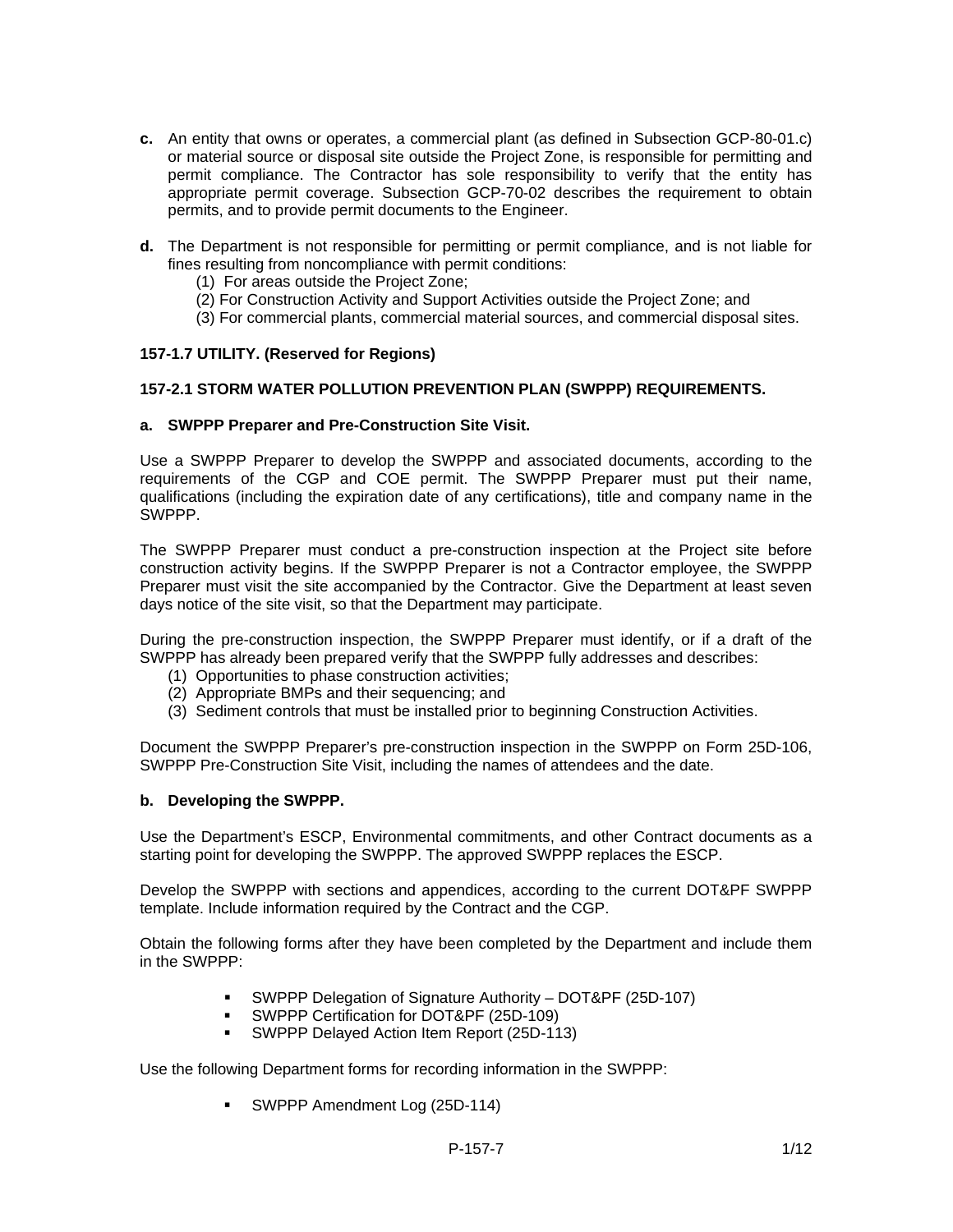- **c.** An entity that owns or operates, a commercial plant (as defined in Subsection GCP-80-01.c) or material source or disposal site outside the Project Zone, is responsible for permitting and permit compliance. The Contractor has sole responsibility to verify that the entity has appropriate permit coverage. Subsection GCP-70-02 describes the requirement to obtain permits, and to provide permit documents to the Engineer.
- **d.** The Department is not responsible for permitting or permit compliance, and is not liable for fines resulting from noncompliance with permit conditions:
	- (1) For areas outside the Project Zone;
	- (2) For Construction Activity and Support Activities outside the Project Zone; and
	- (3) For commercial plants, commercial material sources, and commercial disposal sites.

## **157-1.7 UTILITY. (Reserved for Regions)**

## **157-2.1 STORM WATER POLLUTION PREVENTION PLAN (SWPPP) REQUIREMENTS.**

#### **a. SWPPP Preparer and Pre-Construction Site Visit.**

Use a SWPPP Preparer to develop the SWPPP and associated documents, according to the requirements of the CGP and COE permit. The SWPPP Preparer must put their name, qualifications (including the expiration date of any certifications), title and company name in the SWPPP.

The SWPPP Preparer must conduct a pre-construction inspection at the Project site before construction activity begins. If the SWPPP Preparer is not a Contractor employee, the SWPPP Preparer must visit the site accompanied by the Contractor. Give the Department at least seven days notice of the site visit, so that the Department may participate.

During the pre-construction inspection, the SWPPP Preparer must identify, or if a draft of the SWPPP has already been prepared verify that the SWPPP fully addresses and describes:

- (1) Opportunities to phase construction activities;
- (2) Appropriate BMPs and their sequencing; and
- (3) Sediment controls that must be installed prior to beginning Construction Activities.

Document the SWPPP Preparer's pre-construction inspection in the SWPPP on Form 25D-106, SWPPP Pre-Construction Site Visit, including the names of attendees and the date.

#### **b. Developing the SWPPP.**

Use the Department's ESCP, Environmental commitments, and other Contract documents as a starting point for developing the SWPPP. The approved SWPPP replaces the ESCP.

Develop the SWPPP with sections and appendices, according to the current DOT&PF SWPPP template. Include information required by the Contract and the CGP.

Obtain the following forms after they have been completed by the Department and include them in the SWPPP:

- SWPPP Delegation of Signature Authority DOT&PF (25D-107)
- SWPPP Certification for DOT&PF (25D-109)
- SWPPP Delayed Action Item Report (25D-113)

Use the following Department forms for recording information in the SWPPP:

**SWPPP Amendment Log (25D-114)**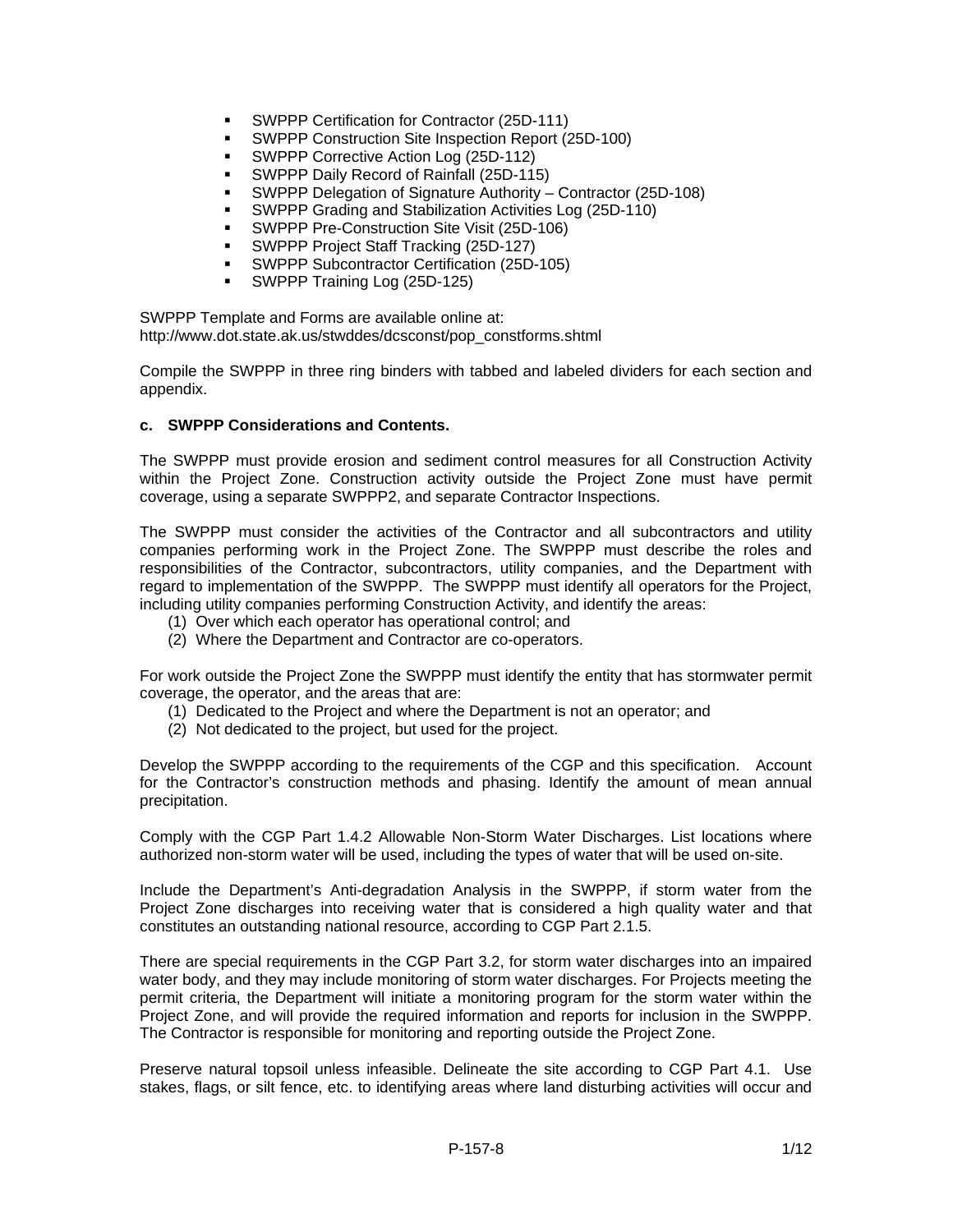- **SWPPP Certification for Contractor (25D-111)**
- SWPPP Construction Site Inspection Report (25D-100)
- SWPPP Corrective Action Log (25D-112)
- SWPPP Daily Record of Rainfall (25D-115)
- SWPPP Delegation of Signature Authority Contractor (25D-108)
- SWPPP Grading and Stabilization Activities Log (25D-110)
- SWPPP Pre-Construction Site Visit (25D-106)
- SWPPP Project Staff Tracking (25D-127)
- SWPPP Subcontractor Certification (25D-105)
- SWPPP Training Log (25D-125)

SWPPP Template and Forms are available online at: http://www.dot.state.ak.us/stwddes/dcsconst/pop\_constforms.shtml

Compile the SWPPP in three ring binders with tabbed and labeled dividers for each section and appendix.

#### **c. SWPPP Considerations and Contents.**

The SWPPP must provide erosion and sediment control measures for all Construction Activity within the Project Zone. Construction activity outside the Project Zone must have permit coverage, using a separate SWPPP2, and separate Contractor Inspections.

The SWPPP must consider the activities of the Contractor and all subcontractors and utility companies performing work in the Project Zone. The SWPPP must describe the roles and responsibilities of the Contractor, subcontractors, utility companies, and the Department with regard to implementation of the SWPPP. The SWPPP must identify all operators for the Project, including utility companies performing Construction Activity, and identify the areas:

- (1) Over which each operator has operational control; and
- (2) Where the Department and Contractor are co-operators.

For work outside the Project Zone the SWPPP must identify the entity that has stormwater permit coverage, the operator, and the areas that are:

- (1) Dedicated to the Project and where the Department is not an operator; and
- (2) Not dedicated to the project, but used for the project.

Develop the SWPPP according to the requirements of the CGP and this specification. Account for the Contractor's construction methods and phasing. Identify the amount of mean annual precipitation.

Comply with the CGP Part 1.4.2 Allowable Non-Storm Water Discharges. List locations where authorized non-storm water will be used, including the types of water that will be used on-site.

Include the Department's Anti-degradation Analysis in the SWPPP, if storm water from the Project Zone discharges into receiving water that is considered a high quality water and that constitutes an outstanding national resource, according to CGP Part 2.1.5.

There are special requirements in the CGP Part 3.2, for storm water discharges into an impaired water body, and they may include monitoring of storm water discharges. For Projects meeting the permit criteria, the Department will initiate a monitoring program for the storm water within the Project Zone, and will provide the required information and reports for inclusion in the SWPPP. The Contractor is responsible for monitoring and reporting outside the Project Zone.

Preserve natural topsoil unless infeasible. Delineate the site according to CGP Part 4.1. Use stakes, flags, or silt fence, etc. to identifying areas where land disturbing activities will occur and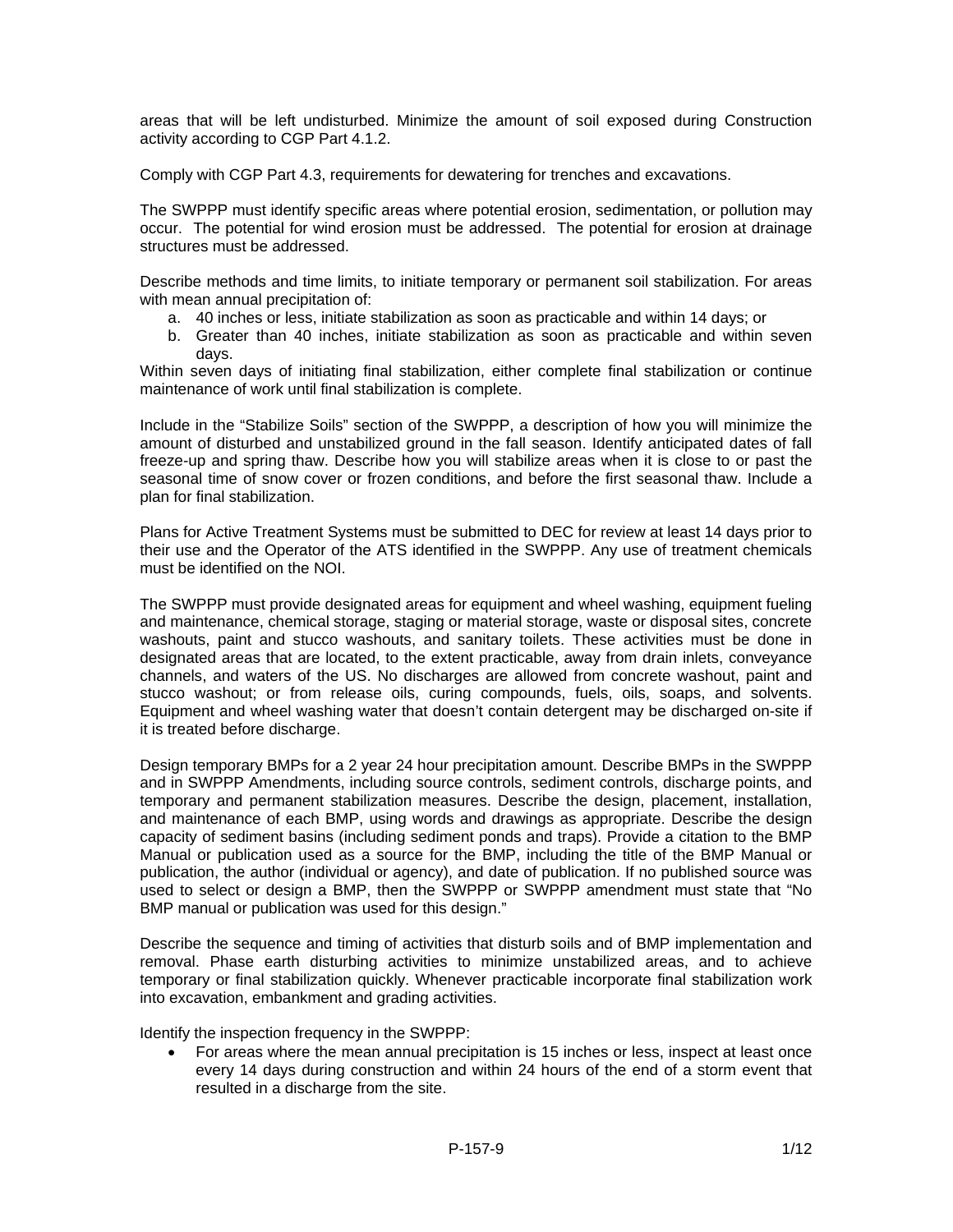areas that will be left undisturbed. Minimize the amount of soil exposed during Construction activity according to CGP Part 4.1.2.

Comply with CGP Part 4.3, requirements for dewatering for trenches and excavations.

The SWPPP must identify specific areas where potential erosion, sedimentation, or pollution may occur. The potential for wind erosion must be addressed. The potential for erosion at drainage structures must be addressed.

Describe methods and time limits, to initiate temporary or permanent soil stabilization. For areas with mean annual precipitation of:

- a. 40 inches or less, initiate stabilization as soon as practicable and within 14 days; or
- b. Greater than 40 inches, initiate stabilization as soon as practicable and within seven days.

Within seven days of initiating final stabilization, either complete final stabilization or continue maintenance of work until final stabilization is complete.

Include in the "Stabilize Soils" section of the SWPPP, a description of how you will minimize the amount of disturbed and unstabilized ground in the fall season. Identify anticipated dates of fall freeze-up and spring thaw. Describe how you will stabilize areas when it is close to or past the seasonal time of snow cover or frozen conditions, and before the first seasonal thaw. Include a plan for final stabilization.

Plans for Active Treatment Systems must be submitted to DEC for review at least 14 days prior to their use and the Operator of the ATS identified in the SWPPP. Any use of treatment chemicals must be identified on the NOI.

The SWPPP must provide designated areas for equipment and wheel washing, equipment fueling and maintenance, chemical storage, staging or material storage, waste or disposal sites, concrete washouts, paint and stucco washouts, and sanitary toilets. These activities must be done in designated areas that are located, to the extent practicable, away from drain inlets, conveyance channels, and waters of the US. No discharges are allowed from concrete washout, paint and stucco washout; or from release oils, curing compounds, fuels, oils, soaps, and solvents. Equipment and wheel washing water that doesn't contain detergent may be discharged on-site if it is treated before discharge.

Design temporary BMPs for a 2 year 24 hour precipitation amount. Describe BMPs in the SWPPP and in SWPPP Amendments, including source controls, sediment controls, discharge points, and temporary and permanent stabilization measures. Describe the design, placement, installation, and maintenance of each BMP, using words and drawings as appropriate. Describe the design capacity of sediment basins (including sediment ponds and traps). Provide a citation to the BMP Manual or publication used as a source for the BMP, including the title of the BMP Manual or publication, the author (individual or agency), and date of publication. If no published source was used to select or design a BMP, then the SWPPP or SWPPP amendment must state that "No BMP manual or publication was used for this design."

Describe the sequence and timing of activities that disturb soils and of BMP implementation and removal. Phase earth disturbing activities to minimize unstabilized areas, and to achieve temporary or final stabilization quickly. Whenever practicable incorporate final stabilization work into excavation, embankment and grading activities.

Identify the inspection frequency in the SWPPP:

• For areas where the mean annual precipitation is 15 inches or less, inspect at least once every 14 days during construction and within 24 hours of the end of a storm event that resulted in a discharge from the site.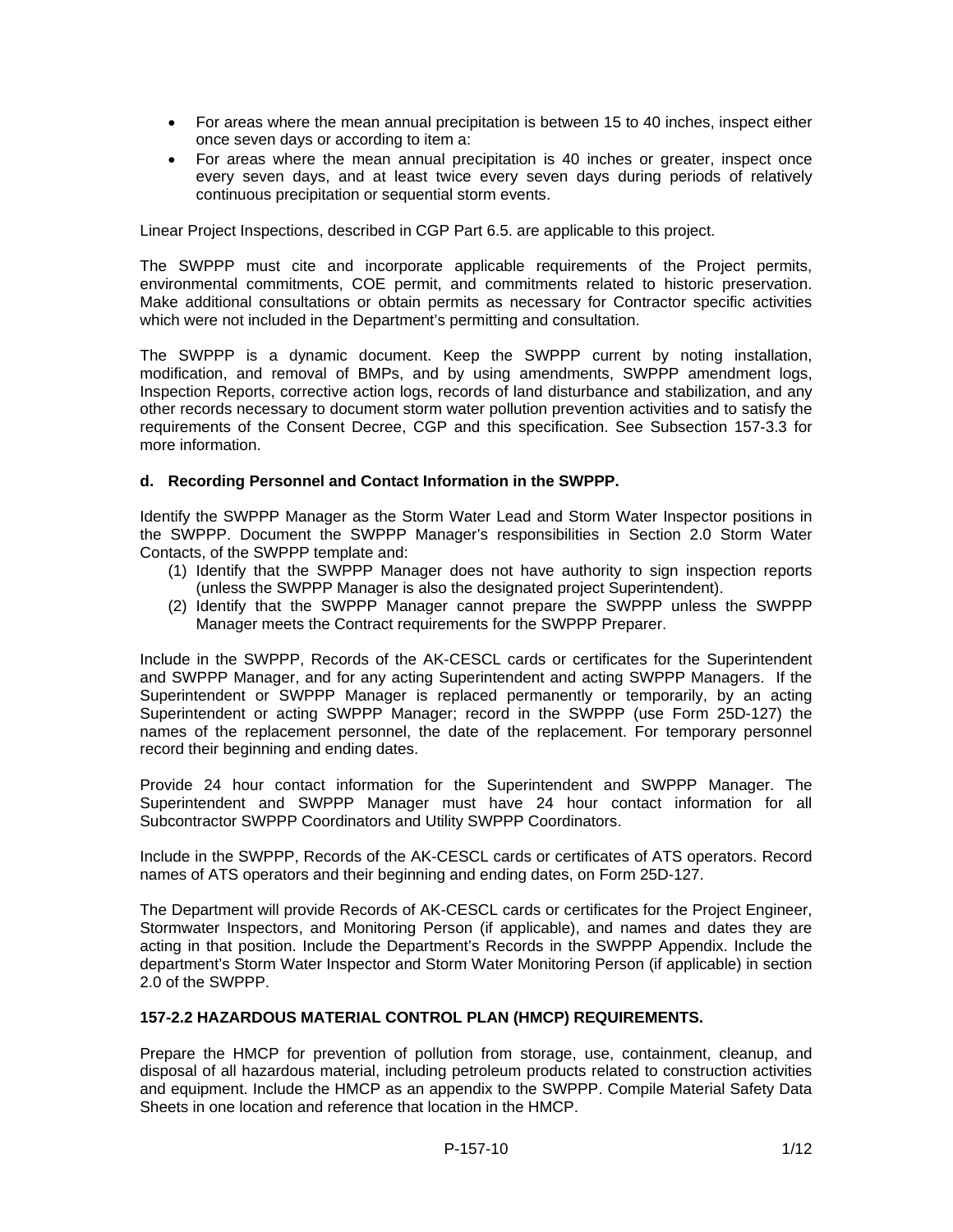- For areas where the mean annual precipitation is between 15 to 40 inches, inspect either once seven days or according to item a:
- For areas where the mean annual precipitation is 40 inches or greater, inspect once every seven days, and at least twice every seven days during periods of relatively continuous precipitation or sequential storm events.

Linear Project Inspections, described in CGP Part 6.5. are applicable to this project.

The SWPPP must cite and incorporate applicable requirements of the Project permits, environmental commitments, COE permit, and commitments related to historic preservation. Make additional consultations or obtain permits as necessary for Contractor specific activities which were not included in the Department's permitting and consultation.

The SWPPP is a dynamic document. Keep the SWPPP current by noting installation, modification, and removal of BMPs, and by using amendments, SWPPP amendment logs, Inspection Reports, corrective action logs, records of land disturbance and stabilization, and any other records necessary to document storm water pollution prevention activities and to satisfy the requirements of the Consent Decree, CGP and this specification. See Subsection 157-3.3 for more information.

## **d. Recording Personnel and Contact Information in the SWPPP.**

Identify the SWPPP Manager as the Storm Water Lead and Storm Water Inspector positions in the SWPPP. Document the SWPPP Manager's responsibilities in Section 2.0 Storm Water Contacts, of the SWPPP template and:

- (1) Identify that the SWPPP Manager does not have authority to sign inspection reports (unless the SWPPP Manager is also the designated project Superintendent).
- (2) Identify that the SWPPP Manager cannot prepare the SWPPP unless the SWPPP Manager meets the Contract requirements for the SWPPP Preparer.

Include in the SWPPP, Records of the AK-CESCL cards or certificates for the Superintendent and SWPPP Manager, and for any acting Superintendent and acting SWPPP Managers. If the Superintendent or SWPPP Manager is replaced permanently or temporarily, by an acting Superintendent or acting SWPPP Manager; record in the SWPPP (use Form 25D-127) the names of the replacement personnel, the date of the replacement. For temporary personnel record their beginning and ending dates.

Provide 24 hour contact information for the Superintendent and SWPPP Manager. The Superintendent and SWPPP Manager must have 24 hour contact information for all Subcontractor SWPPP Coordinators and Utility SWPPP Coordinators.

Include in the SWPPP, Records of the AK-CESCL cards or certificates of ATS operators. Record names of ATS operators and their beginning and ending dates, on Form 25D-127.

The Department will provide Records of AK-CESCL cards or certificates for the Project Engineer, Stormwater Inspectors, and Monitoring Person (if applicable), and names and dates they are acting in that position. Include the Department's Records in the SWPPP Appendix. Include the department's Storm Water Inspector and Storm Water Monitoring Person (if applicable) in section 2.0 of the SWPPP.

# **157-2.2 HAZARDOUS MATERIAL CONTROL PLAN (HMCP) REQUIREMENTS.**

Prepare the HMCP for prevention of pollution from storage, use, containment, cleanup, and disposal of all hazardous material, including petroleum products related to construction activities and equipment. Include the HMCP as an appendix to the SWPPP. Compile Material Safety Data Sheets in one location and reference that location in the HMCP.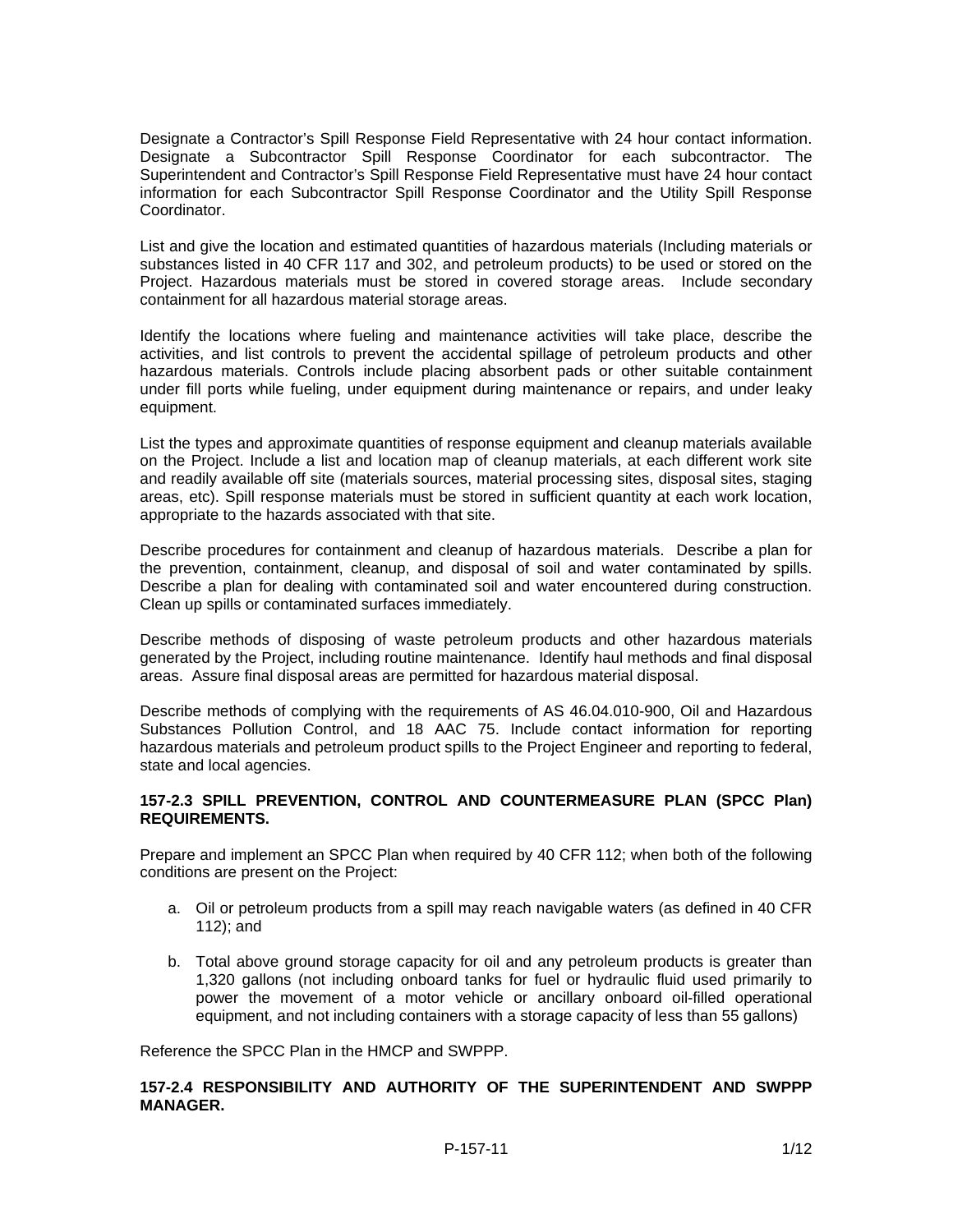Designate a Contractor's Spill Response Field Representative with 24 hour contact information. Designate a Subcontractor Spill Response Coordinator for each subcontractor. The Superintendent and Contractor's Spill Response Field Representative must have 24 hour contact information for each Subcontractor Spill Response Coordinator and the Utility Spill Response Coordinator.

List and give the location and estimated quantities of hazardous materials (Including materials or substances listed in 40 CFR 117 and 302, and petroleum products) to be used or stored on the Project. Hazardous materials must be stored in covered storage areas. Include secondary containment for all hazardous material storage areas.

Identify the locations where fueling and maintenance activities will take place, describe the activities, and list controls to prevent the accidental spillage of petroleum products and other hazardous materials. Controls include placing absorbent pads or other suitable containment under fill ports while fueling, under equipment during maintenance or repairs, and under leaky equipment.

List the types and approximate quantities of response equipment and cleanup materials available on the Project. Include a list and location map of cleanup materials, at each different work site and readily available off site (materials sources, material processing sites, disposal sites, staging areas, etc). Spill response materials must be stored in sufficient quantity at each work location, appropriate to the hazards associated with that site.

Describe procedures for containment and cleanup of hazardous materials. Describe a plan for the prevention, containment, cleanup, and disposal of soil and water contaminated by spills. Describe a plan for dealing with contaminated soil and water encountered during construction. Clean up spills or contaminated surfaces immediately.

Describe methods of disposing of waste petroleum products and other hazardous materials generated by the Project, including routine maintenance. Identify haul methods and final disposal areas. Assure final disposal areas are permitted for hazardous material disposal.

Describe methods of complying with the requirements of AS 46.04.010-900, Oil and Hazardous Substances Pollution Control, and 18 AAC 75. Include contact information for reporting hazardous materials and petroleum product spills to the Project Engineer and reporting to federal, state and local agencies.

## **157-2.3 SPILL PREVENTION, CONTROL AND COUNTERMEASURE PLAN (SPCC Plan) REQUIREMENTS.**

Prepare and implement an SPCC Plan when required by 40 CFR 112; when both of the following conditions are present on the Project:

- a. Oil or petroleum products from a spill may reach navigable waters (as defined in 40 CFR 112); and
- b. Total above ground storage capacity for oil and any petroleum products is greater than 1,320 gallons (not including onboard tanks for fuel or hydraulic fluid used primarily to power the movement of a motor vehicle or ancillary onboard oil-filled operational equipment, and not including containers with a storage capacity of less than 55 gallons)

Reference the SPCC Plan in the HMCP and SWPPP.

# **157-2.4 RESPONSIBILITY AND AUTHORITY OF THE SUPERINTENDENT AND SWPPP MANAGER.**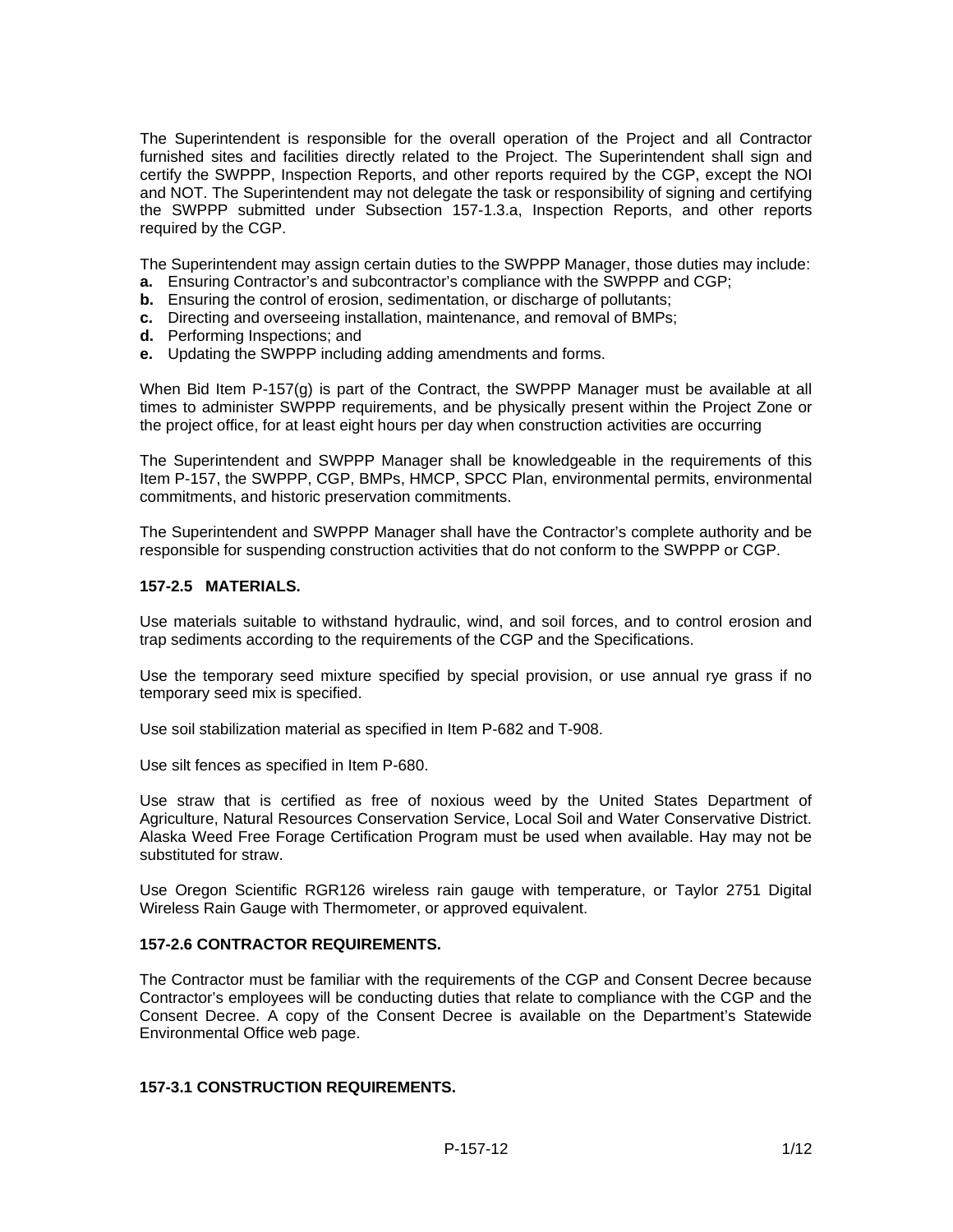The Superintendent is responsible for the overall operation of the Project and all Contractor furnished sites and facilities directly related to the Project. The Superintendent shall sign and certify the SWPPP, Inspection Reports, and other reports required by the CGP, except the NOI and NOT. The Superintendent may not delegate the task or responsibility of signing and certifying the SWPPP submitted under Subsection 157-1.3.a, Inspection Reports, and other reports required by the CGP.

The Superintendent may assign certain duties to the SWPPP Manager, those duties may include:

- **a.** Ensuring Contractor's and subcontractor's compliance with the SWPPP and CGP;
- **b.** Ensuring the control of erosion, sedimentation, or discharge of pollutants;
- **c.** Directing and overseeing installation, maintenance, and removal of BMPs;
- **d.** Performing Inspections; and
- **e.** Updating the SWPPP including adding amendments and forms.

When Bid Item P-157(g) is part of the Contract, the SWPPP Manager must be available at all times to administer SWPPP requirements, and be physically present within the Project Zone or the project office, for at least eight hours per day when construction activities are occurring

The Superintendent and SWPPP Manager shall be knowledgeable in the requirements of this Item P-157, the SWPPP, CGP, BMPs, HMCP, SPCC Plan, environmental permits, environmental commitments, and historic preservation commitments.

The Superintendent and SWPPP Manager shall have the Contractor's complete authority and be responsible for suspending construction activities that do not conform to the SWPPP or CGP.

## **157-2.5 MATERIALS.**

Use materials suitable to withstand hydraulic, wind, and soil forces, and to control erosion and trap sediments according to the requirements of the CGP and the Specifications.

Use the temporary seed mixture specified by special provision, or use annual rye grass if no temporary seed mix is specified.

Use soil stabilization material as specified in Item P-682 and T-908.

Use silt fences as specified in Item P-680.

Use straw that is certified as free of noxious weed by the United States Department of Agriculture, Natural Resources Conservation Service, Local Soil and Water Conservative District. Alaska Weed Free Forage Certification Program must be used when available. Hay may not be substituted for straw.

Use Oregon Scientific RGR126 wireless rain gauge with temperature, or Taylor 2751 Digital Wireless Rain Gauge with Thermometer, or approved equivalent.

#### **157-2.6 CONTRACTOR REQUIREMENTS.**

The Contractor must be familiar with the requirements of the CGP and Consent Decree because Contractor's employees will be conducting duties that relate to compliance with the CGP and the Consent Decree. A copy of the Consent Decree is available on the Department's Statewide Environmental Office web page.

## **157-3.1 CONSTRUCTION REQUIREMENTS.**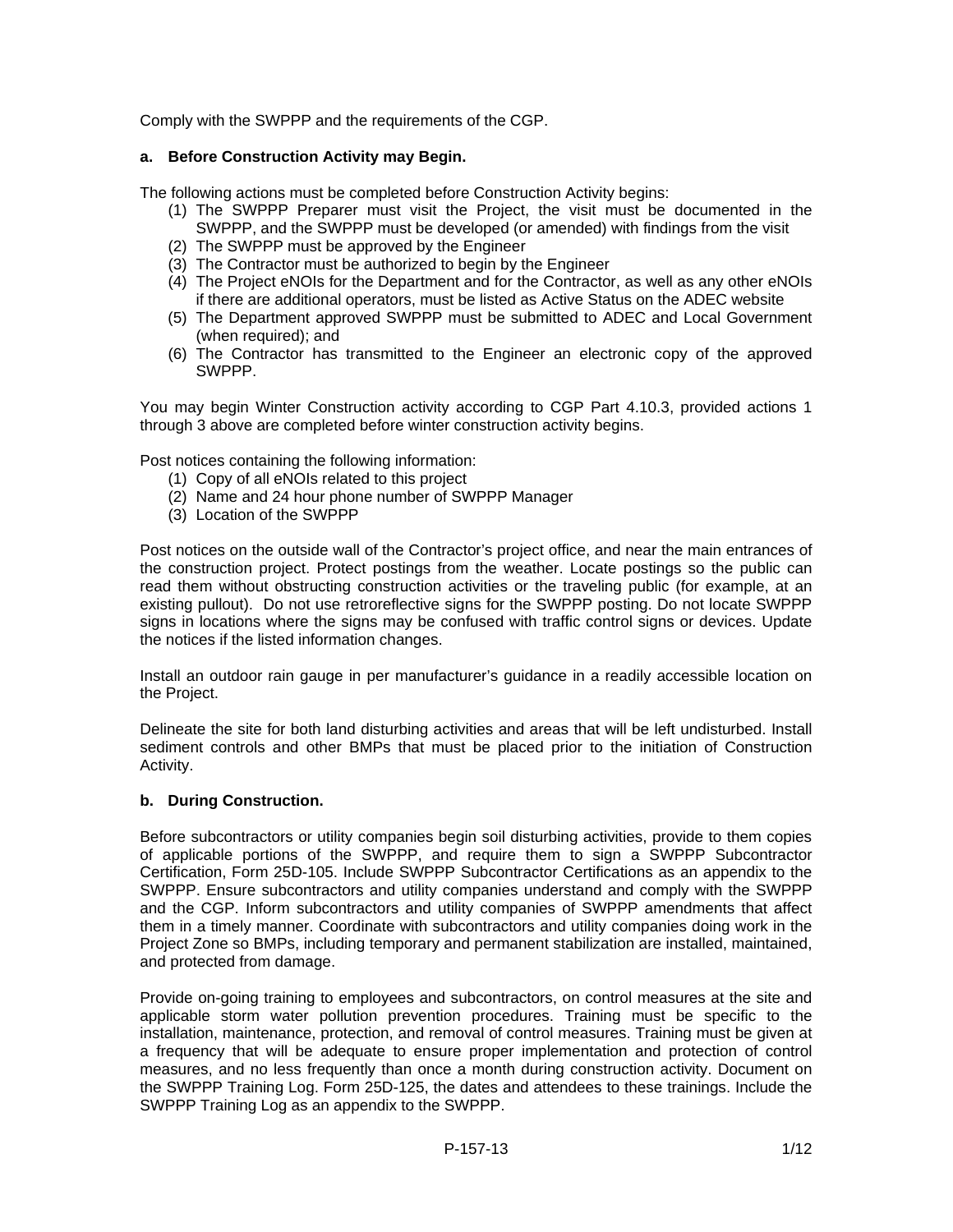Comply with the SWPPP and the requirements of the CGP.

## **a. Before Construction Activity may Begin.**

The following actions must be completed before Construction Activity begins:

- (1) The SWPPP Preparer must visit the Project, the visit must be documented in the SWPPP, and the SWPPP must be developed (or amended) with findings from the visit
- (2) The SWPPP must be approved by the Engineer
- (3) The Contractor must be authorized to begin by the Engineer
- (4) The Project eNOIs for the Department and for the Contractor, as well as any other eNOIs if there are additional operators, must be listed as Active Status on the ADEC website
- (5) The Department approved SWPPP must be submitted to ADEC and Local Government (when required); and
- (6) The Contractor has transmitted to the Engineer an electronic copy of the approved SWPPP.

You may begin Winter Construction activity according to CGP Part 4.10.3, provided actions 1 through 3 above are completed before winter construction activity begins.

Post notices containing the following information:

- (1) Copy of all eNOIs related to this project
- (2) Name and 24 hour phone number of SWPPP Manager
- (3) Location of the SWPPP

Post notices on the outside wall of the Contractor's project office, and near the main entrances of the construction project. Protect postings from the weather. Locate postings so the public can read them without obstructing construction activities or the traveling public (for example, at an existing pullout). Do not use retroreflective signs for the SWPPP posting. Do not locate SWPPP signs in locations where the signs may be confused with traffic control signs or devices. Update the notices if the listed information changes.

Install an outdoor rain gauge in per manufacturer's guidance in a readily accessible location on the Project.

Delineate the site for both land disturbing activities and areas that will be left undisturbed. Install sediment controls and other BMPs that must be placed prior to the initiation of Construction Activity.

#### **b. During Construction.**

Before subcontractors or utility companies begin soil disturbing activities, provide to them copies of applicable portions of the SWPPP, and require them to sign a SWPPP Subcontractor Certification, Form 25D-105. Include SWPPP Subcontractor Certifications as an appendix to the SWPPP. Ensure subcontractors and utility companies understand and comply with the SWPPP and the CGP. Inform subcontractors and utility companies of SWPPP amendments that affect them in a timely manner. Coordinate with subcontractors and utility companies doing work in the Project Zone so BMPs, including temporary and permanent stabilization are installed, maintained, and protected from damage.

Provide on-going training to employees and subcontractors, on control measures at the site and applicable storm water pollution prevention procedures. Training must be specific to the installation, maintenance, protection, and removal of control measures. Training must be given at a frequency that will be adequate to ensure proper implementation and protection of control measures, and no less frequently than once a month during construction activity. Document on the SWPPP Training Log. Form 25D-125, the dates and attendees to these trainings. Include the SWPPP Training Log as an appendix to the SWPPP.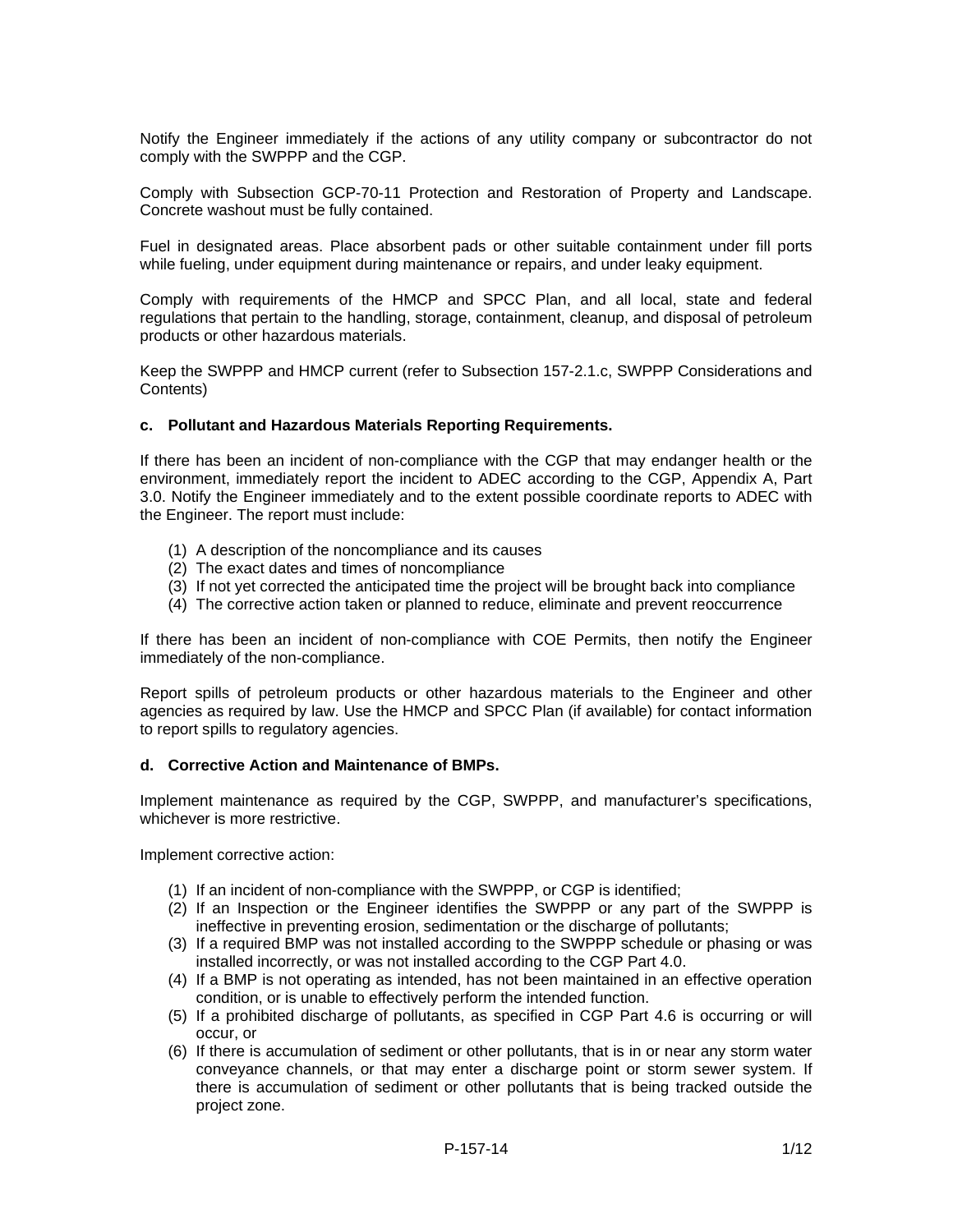Notify the Engineer immediately if the actions of any utility company or subcontractor do not comply with the SWPPP and the CGP.

Comply with Subsection GCP-70-11 Protection and Restoration of Property and Landscape. Concrete washout must be fully contained.

Fuel in designated areas. Place absorbent pads or other suitable containment under fill ports while fueling, under equipment during maintenance or repairs, and under leaky equipment.

Comply with requirements of the HMCP and SPCC Plan, and all local, state and federal regulations that pertain to the handling, storage, containment, cleanup, and disposal of petroleum products or other hazardous materials.

Keep the SWPPP and HMCP current (refer to Subsection 157-2.1.c, SWPPP Considerations and Contents)

#### **c. Pollutant and Hazardous Materials Reporting Requirements.**

If there has been an incident of non-compliance with the CGP that may endanger health or the environment, immediately report the incident to ADEC according to the CGP, Appendix A, Part 3.0. Notify the Engineer immediately and to the extent possible coordinate reports to ADEC with the Engineer. The report must include:

- (1) A description of the noncompliance and its causes
- (2) The exact dates and times of noncompliance
- (3) If not yet corrected the anticipated time the project will be brought back into compliance
- (4) The corrective action taken or planned to reduce, eliminate and prevent reoccurrence

If there has been an incident of non-compliance with COE Permits, then notify the Engineer immediately of the non-compliance.

Report spills of petroleum products or other hazardous materials to the Engineer and other agencies as required by law. Use the HMCP and SPCC Plan (if available) for contact information to report spills to regulatory agencies.

#### **d. Corrective Action and Maintenance of BMPs.**

Implement maintenance as required by the CGP, SWPPP, and manufacturer's specifications, whichever is more restrictive

Implement corrective action:

- (1) If an incident of non-compliance with the SWPPP, or CGP is identified;
- (2) If an Inspection or the Engineer identifies the SWPPP or any part of the SWPPP is ineffective in preventing erosion, sedimentation or the discharge of pollutants;
- (3) If a required BMP was not installed according to the SWPPP schedule or phasing or was installed incorrectly, or was not installed according to the CGP Part 4.0.
- (4) If a BMP is not operating as intended, has not been maintained in an effective operation condition, or is unable to effectively perform the intended function.
- (5) If a prohibited discharge of pollutants, as specified in CGP Part 4.6 is occurring or will occur, or
- (6) If there is accumulation of sediment or other pollutants, that is in or near any storm water conveyance channels, or that may enter a discharge point or storm sewer system. If there is accumulation of sediment or other pollutants that is being tracked outside the project zone.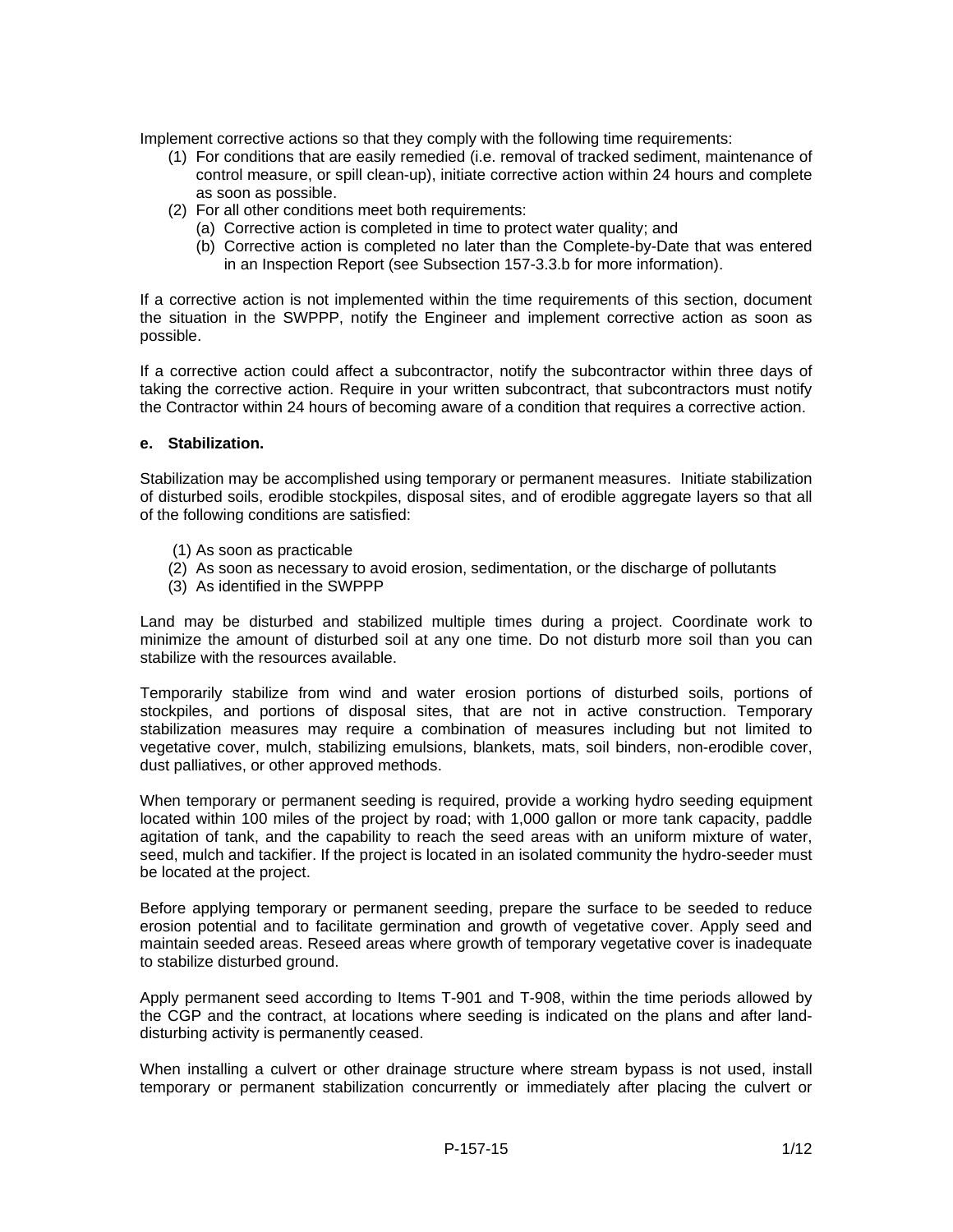Implement corrective actions so that they comply with the following time requirements:

- (1) For conditions that are easily remedied (i.e. removal of tracked sediment, maintenance of control measure, or spill clean-up), initiate corrective action within 24 hours and complete as soon as possible.
- (2) For all other conditions meet both requirements:
	- (a) Corrective action is completed in time to protect water quality; and
	- (b) Corrective action is completed no later than the Complete-by-Date that was entered in an Inspection Report (see Subsection 157-3.3.b for more information).

If a corrective action is not implemented within the time requirements of this section, document the situation in the SWPPP, notify the Engineer and implement corrective action as soon as possible.

If a corrective action could affect a subcontractor, notify the subcontractor within three days of taking the corrective action. Require in your written subcontract, that subcontractors must notify the Contractor within 24 hours of becoming aware of a condition that requires a corrective action.

#### **e. Stabilization.**

Stabilization may be accomplished using temporary or permanent measures. Initiate stabilization of disturbed soils, erodible stockpiles, disposal sites, and of erodible aggregate layers so that all of the following conditions are satisfied:

- (1) As soon as practicable
- (2) As soon as necessary to avoid erosion, sedimentation, or the discharge of pollutants
- (3) As identified in the SWPPP

Land may be disturbed and stabilized multiple times during a project. Coordinate work to minimize the amount of disturbed soil at any one time. Do not disturb more soil than you can stabilize with the resources available.

Temporarily stabilize from wind and water erosion portions of disturbed soils, portions of stockpiles, and portions of disposal sites, that are not in active construction. Temporary stabilization measures may require a combination of measures including but not limited to vegetative cover, mulch, stabilizing emulsions, blankets, mats, soil binders, non-erodible cover, dust palliatives, or other approved methods.

When temporary or permanent seeding is required, provide a working hydro seeding equipment located within 100 miles of the project by road; with 1,000 gallon or more tank capacity, paddle agitation of tank, and the capability to reach the seed areas with an uniform mixture of water, seed, mulch and tackifier. If the project is located in an isolated community the hydro-seeder must be located at the project.

Before applying temporary or permanent seeding, prepare the surface to be seeded to reduce erosion potential and to facilitate germination and growth of vegetative cover. Apply seed and maintain seeded areas. Reseed areas where growth of temporary vegetative cover is inadequate to stabilize disturbed ground.

Apply permanent seed according to Items T-901 and T-908, within the time periods allowed by the CGP and the contract, at locations where seeding is indicated on the plans and after landdisturbing activity is permanently ceased.

When installing a culvert or other drainage structure where stream bypass is not used, install temporary or permanent stabilization concurrently or immediately after placing the culvert or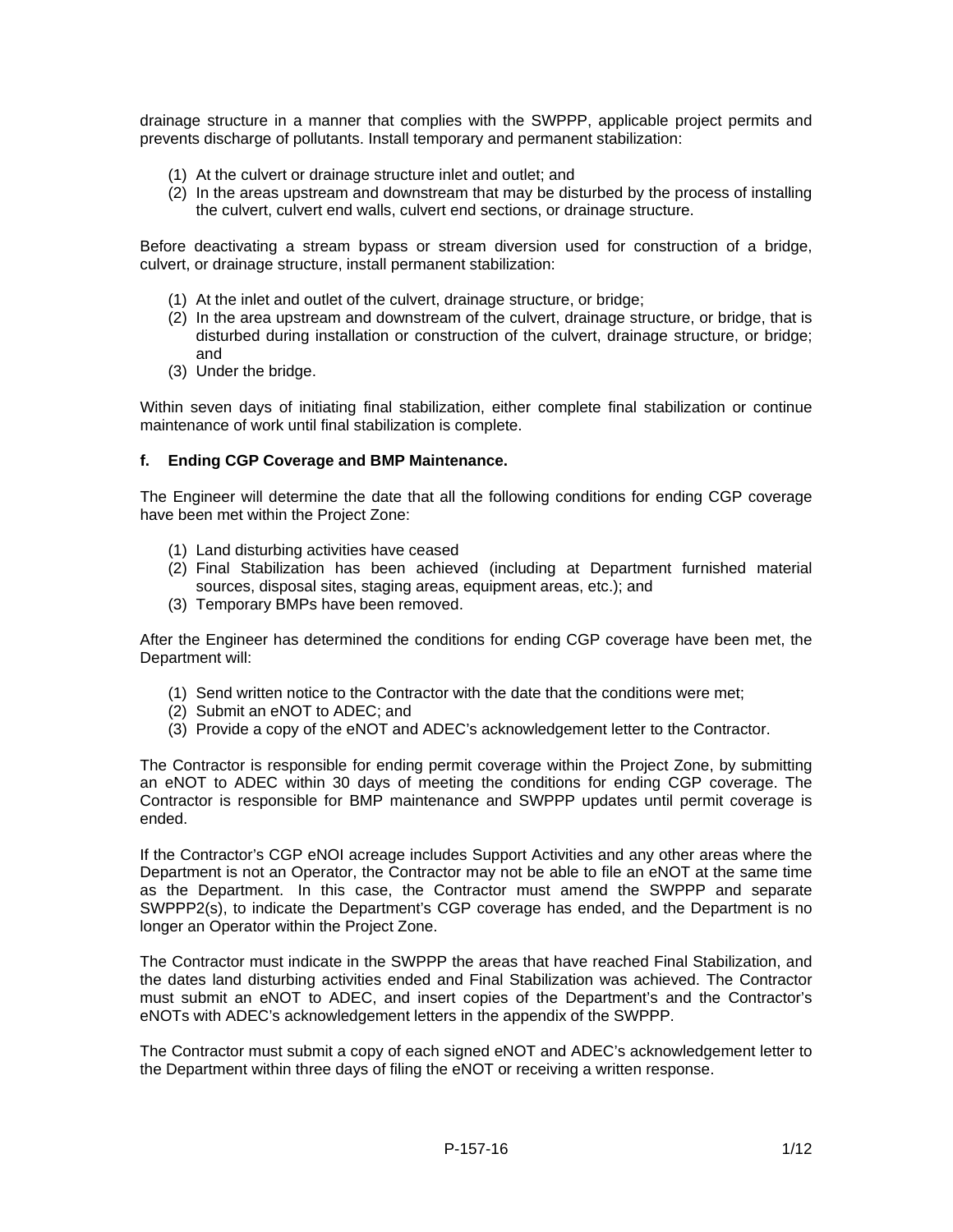drainage structure in a manner that complies with the SWPPP, applicable project permits and prevents discharge of pollutants. Install temporary and permanent stabilization:

- (1) At the culvert or drainage structure inlet and outlet; and
- (2) In the areas upstream and downstream that may be disturbed by the process of installing the culvert, culvert end walls, culvert end sections, or drainage structure.

Before deactivating a stream bypass or stream diversion used for construction of a bridge, culvert, or drainage structure, install permanent stabilization:

- (1) At the inlet and outlet of the culvert, drainage structure, or bridge;
- (2) In the area upstream and downstream of the culvert, drainage structure, or bridge, that is disturbed during installation or construction of the culvert, drainage structure, or bridge; and
- (3) Under the bridge.

Within seven days of initiating final stabilization, either complete final stabilization or continue maintenance of work until final stabilization is complete.

## **f. Ending CGP Coverage and BMP Maintenance.**

The Engineer will determine the date that all the following conditions for ending CGP coverage have been met within the Project Zone:

- (1) Land disturbing activities have ceased
- (2) Final Stabilization has been achieved (including at Department furnished material sources, disposal sites, staging areas, equipment areas, etc.); and
- (3) Temporary BMPs have been removed.

After the Engineer has determined the conditions for ending CGP coverage have been met, the Department will:

- (1) Send written notice to the Contractor with the date that the conditions were met;
- (2) Submit an eNOT to ADEC; and
- (3) Provide a copy of the eNOT and ADEC's acknowledgement letter to the Contractor.

The Contractor is responsible for ending permit coverage within the Project Zone, by submitting an eNOT to ADEC within 30 days of meeting the conditions for ending CGP coverage. The Contractor is responsible for BMP maintenance and SWPPP updates until permit coverage is ended.

If the Contractor's CGP eNOI acreage includes Support Activities and any other areas where the Department is not an Operator, the Contractor may not be able to file an eNOT at the same time as the Department. In this case, the Contractor must amend the SWPPP and separate SWPPP2(s), to indicate the Department's CGP coverage has ended, and the Department is no longer an Operator within the Project Zone.

The Contractor must indicate in the SWPPP the areas that have reached Final Stabilization, and the dates land disturbing activities ended and Final Stabilization was achieved. The Contractor must submit an eNOT to ADEC, and insert copies of the Department's and the Contractor's eNOTs with ADEC's acknowledgement letters in the appendix of the SWPPP.

The Contractor must submit a copy of each signed eNOT and ADEC's acknowledgement letter to the Department within three days of filing the eNOT or receiving a written response.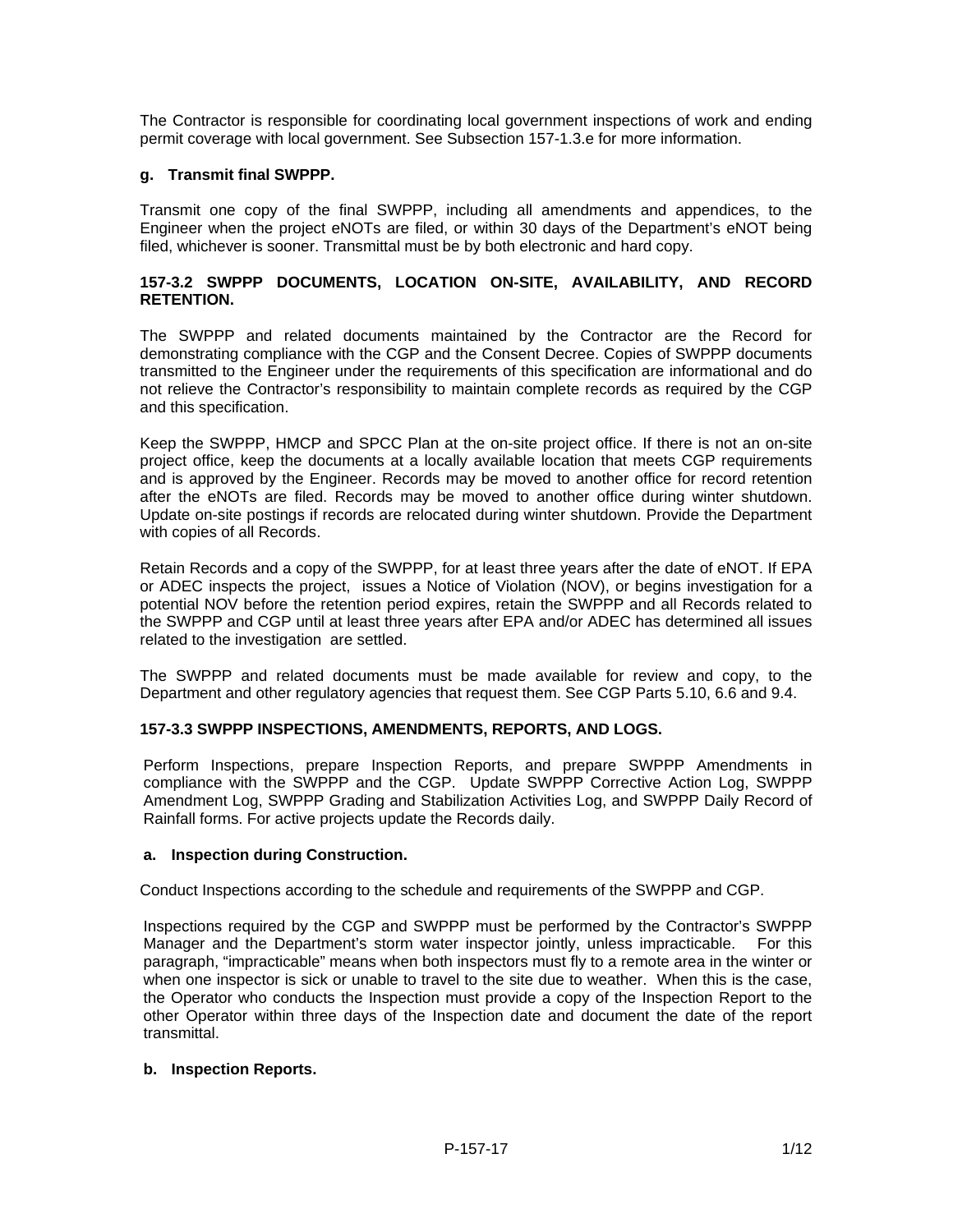The Contractor is responsible for coordinating local government inspections of work and ending permit coverage with local government. See Subsection 157-1.3.e for more information.

# **g. Transmit final SWPPP.**

Transmit one copy of the final SWPPP, including all amendments and appendices, to the Engineer when the project eNOTs are filed, or within 30 days of the Department's eNOT being filed, whichever is sooner. Transmittal must be by both electronic and hard copy.

# **157-3.2 SWPPP DOCUMENTS, LOCATION ON-SITE, AVAILABILITY, AND RECORD RETENTION.**

The SWPPP and related documents maintained by the Contractor are the Record for demonstrating compliance with the CGP and the Consent Decree. Copies of SWPPP documents transmitted to the Engineer under the requirements of this specification are informational and do not relieve the Contractor's responsibility to maintain complete records as required by the CGP and this specification.

Keep the SWPPP, HMCP and SPCC Plan at the on-site project office. If there is not an on-site project office, keep the documents at a locally available location that meets CGP requirements and is approved by the Engineer. Records may be moved to another office for record retention after the eNOTs are filed. Records may be moved to another office during winter shutdown. Update on-site postings if records are relocated during winter shutdown. Provide the Department with copies of all Records.

Retain Records and a copy of the SWPPP, for at least three years after the date of eNOT. If EPA or ADEC inspects the project, issues a Notice of Violation (NOV), or begins investigation for a potential NOV before the retention period expires, retain the SWPPP and all Records related to the SWPPP and CGP until at least three years after EPA and/or ADEC has determined all issues related to the investigation are settled.

The SWPPP and related documents must be made available for review and copy, to the Department and other regulatory agencies that request them. See CGP Parts 5.10, 6.6 and 9.4.

# **157-3.3 SWPPP INSPECTIONS, AMENDMENTS, REPORTS, AND LOGS.**

Perform Inspections, prepare Inspection Reports, and prepare SWPPP Amendments in compliance with the SWPPP and the CGP. Update SWPPP Corrective Action Log, SWPPP Amendment Log, SWPPP Grading and Stabilization Activities Log, and SWPPP Daily Record of Rainfall forms. For active projects update the Records daily.

#### **a. Inspection during Construction.**

Conduct Inspections according to the schedule and requirements of the SWPPP and CGP.

Inspections required by the CGP and SWPPP must be performed by the Contractor's SWPPP Manager and the Department's storm water inspector jointly, unless impracticable. For this paragraph, "impracticable" means when both inspectors must fly to a remote area in the winter or when one inspector is sick or unable to travel to the site due to weather. When this is the case, the Operator who conducts the Inspection must provide a copy of the Inspection Report to the other Operator within three days of the Inspection date and document the date of the report transmittal.

# **b. Inspection Reports.**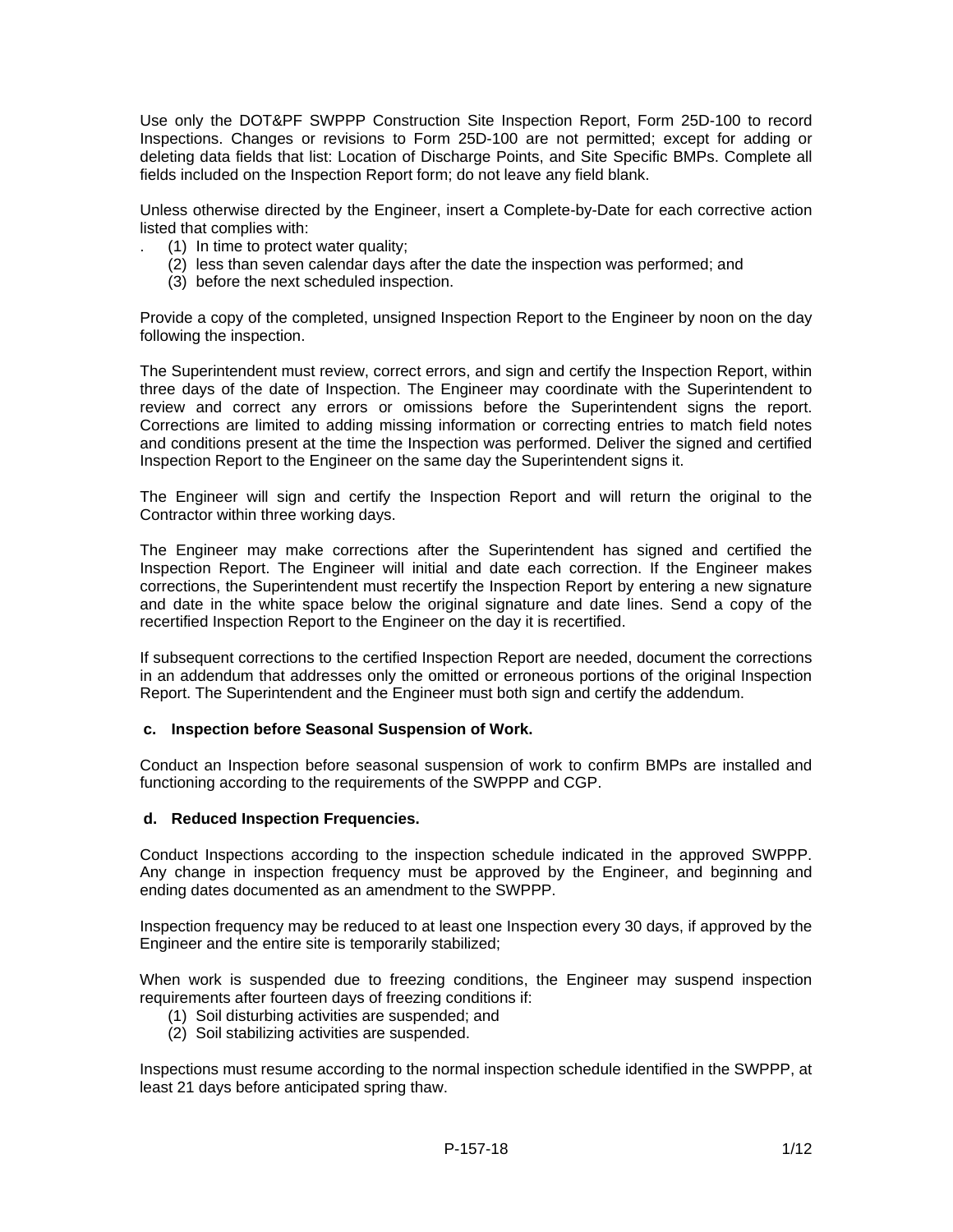Use only the DOT&PF SWPPP Construction Site Inspection Report, Form 25D-100 to record Inspections. Changes or revisions to Form 25D-100 are not permitted; except for adding or deleting data fields that list: Location of Discharge Points, and Site Specific BMPs. Complete all fields included on the Inspection Report form; do not leave any field blank.

Unless otherwise directed by the Engineer, insert a Complete-by-Date for each corrective action listed that complies with:

- . (1) In time to protect water quality;
	- (2) less than seven calendar days after the date the inspection was performed; and
	- (3) before the next scheduled inspection.

Provide a copy of the completed, unsigned Inspection Report to the Engineer by noon on the day following the inspection.

The Superintendent must review, correct errors, and sign and certify the Inspection Report, within three days of the date of Inspection. The Engineer may coordinate with the Superintendent to review and correct any errors or omissions before the Superintendent signs the report. Corrections are limited to adding missing information or correcting entries to match field notes and conditions present at the time the Inspection was performed. Deliver the signed and certified Inspection Report to the Engineer on the same day the Superintendent signs it.

The Engineer will sign and certify the Inspection Report and will return the original to the Contractor within three working days.

The Engineer may make corrections after the Superintendent has signed and certified the Inspection Report. The Engineer will initial and date each correction. If the Engineer makes corrections, the Superintendent must recertify the Inspection Report by entering a new signature and date in the white space below the original signature and date lines. Send a copy of the recertified Inspection Report to the Engineer on the day it is recertified.

If subsequent corrections to the certified Inspection Report are needed, document the corrections in an addendum that addresses only the omitted or erroneous portions of the original Inspection Report. The Superintendent and the Engineer must both sign and certify the addendum.

# **c. Inspection before Seasonal Suspension of Work.**

Conduct an Inspection before seasonal suspension of work to confirm BMPs are installed and functioning according to the requirements of the SWPPP and CGP.

# **d. Reduced Inspection Frequencies.**

Conduct Inspections according to the inspection schedule indicated in the approved SWPPP. Any change in inspection frequency must be approved by the Engineer, and beginning and ending dates documented as an amendment to the SWPPP.

Inspection frequency may be reduced to at least one Inspection every 30 days, if approved by the Engineer and the entire site is temporarily stabilized;

When work is suspended due to freezing conditions, the Engineer may suspend inspection requirements after fourteen days of freezing conditions if:

- (1) Soil disturbing activities are suspended; and
- (2) Soil stabilizing activities are suspended.

Inspections must resume according to the normal inspection schedule identified in the SWPPP, at least 21 days before anticipated spring thaw.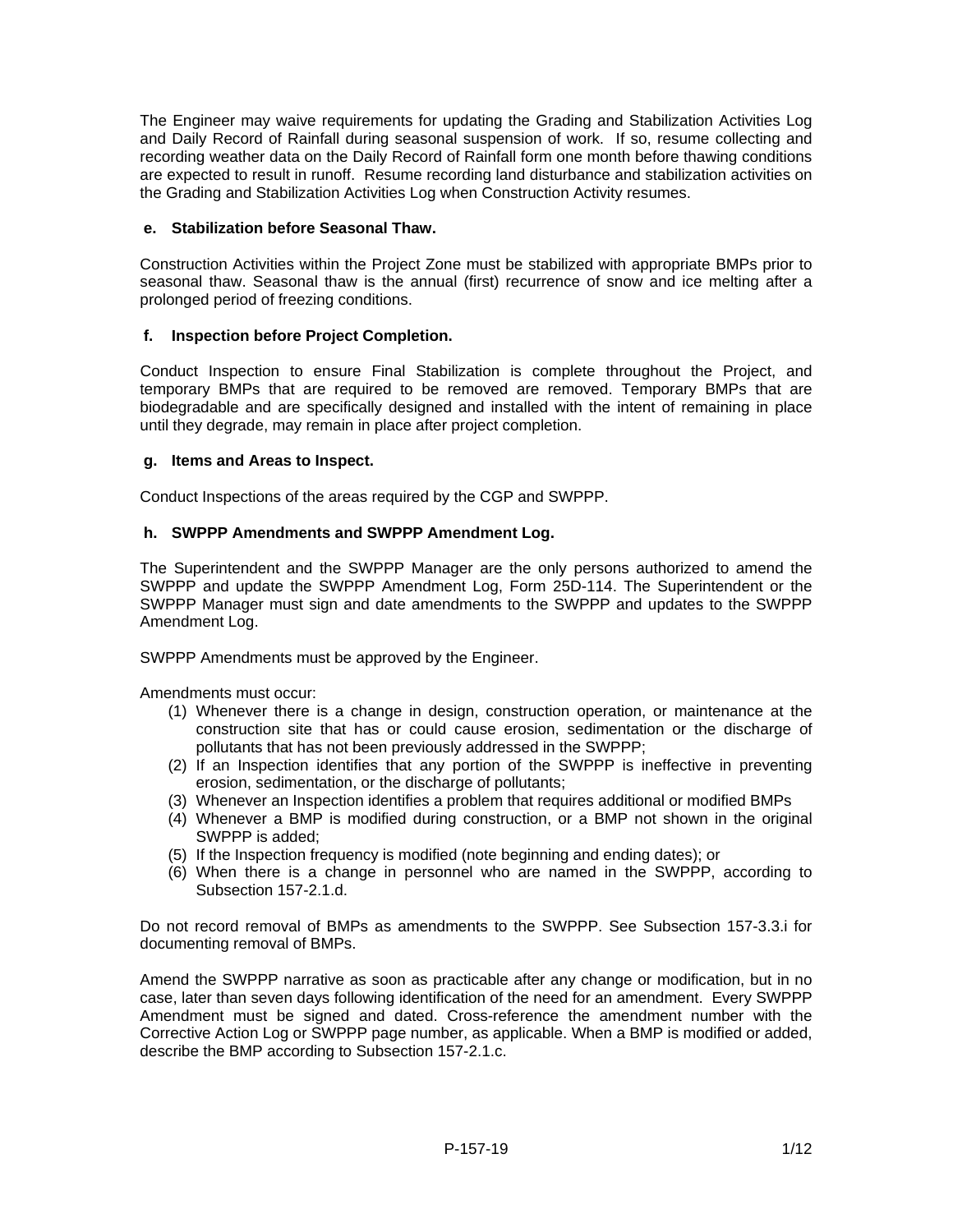The Engineer may waive requirements for updating the Grading and Stabilization Activities Log and Daily Record of Rainfall during seasonal suspension of work. If so, resume collecting and recording weather data on the Daily Record of Rainfall form one month before thawing conditions are expected to result in runoff. Resume recording land disturbance and stabilization activities on the Grading and Stabilization Activities Log when Construction Activity resumes.

# **e. Stabilization before Seasonal Thaw.**

Construction Activities within the Project Zone must be stabilized with appropriate BMPs prior to seasonal thaw. Seasonal thaw is the annual (first) recurrence of snow and ice melting after a prolonged period of freezing conditions.

# **f. Inspection before Project Completion.**

Conduct Inspection to ensure Final Stabilization is complete throughout the Project, and temporary BMPs that are required to be removed are removed. Temporary BMPs that are biodegradable and are specifically designed and installed with the intent of remaining in place until they degrade, may remain in place after project completion.

# **g. Items and Areas to Inspect.**

Conduct Inspections of the areas required by the CGP and SWPPP.

# **h. SWPPP Amendments and SWPPP Amendment Log.**

The Superintendent and the SWPPP Manager are the only persons authorized to amend the SWPPP and update the SWPPP Amendment Log, Form 25D-114. The Superintendent or the SWPPP Manager must sign and date amendments to the SWPPP and updates to the SWPPP Amendment Log.

SWPPP Amendments must be approved by the Engineer.

Amendments must occur:

- (1) Whenever there is a change in design, construction operation, or maintenance at the construction site that has or could cause erosion, sedimentation or the discharge of pollutants that has not been previously addressed in the SWPPP;
- (2) If an Inspection identifies that any portion of the SWPPP is ineffective in preventing erosion, sedimentation, or the discharge of pollutants;
- (3) Whenever an Inspection identifies a problem that requires additional or modified BMPs
- (4) Whenever a BMP is modified during construction, or a BMP not shown in the original SWPPP is added;
- (5) If the Inspection frequency is modified (note beginning and ending dates); or
- (6) When there is a change in personnel who are named in the SWPPP, according to Subsection 157-2.1.d.

Do not record removal of BMPs as amendments to the SWPPP. See Subsection 157-3.3.i for documenting removal of BMPs.

Amend the SWPPP narrative as soon as practicable after any change or modification, but in no case, later than seven days following identification of the need for an amendment. Every SWPPP Amendment must be signed and dated. Cross-reference the amendment number with the Corrective Action Log or SWPPP page number, as applicable. When a BMP is modified or added, describe the BMP according to Subsection 157-2.1.c.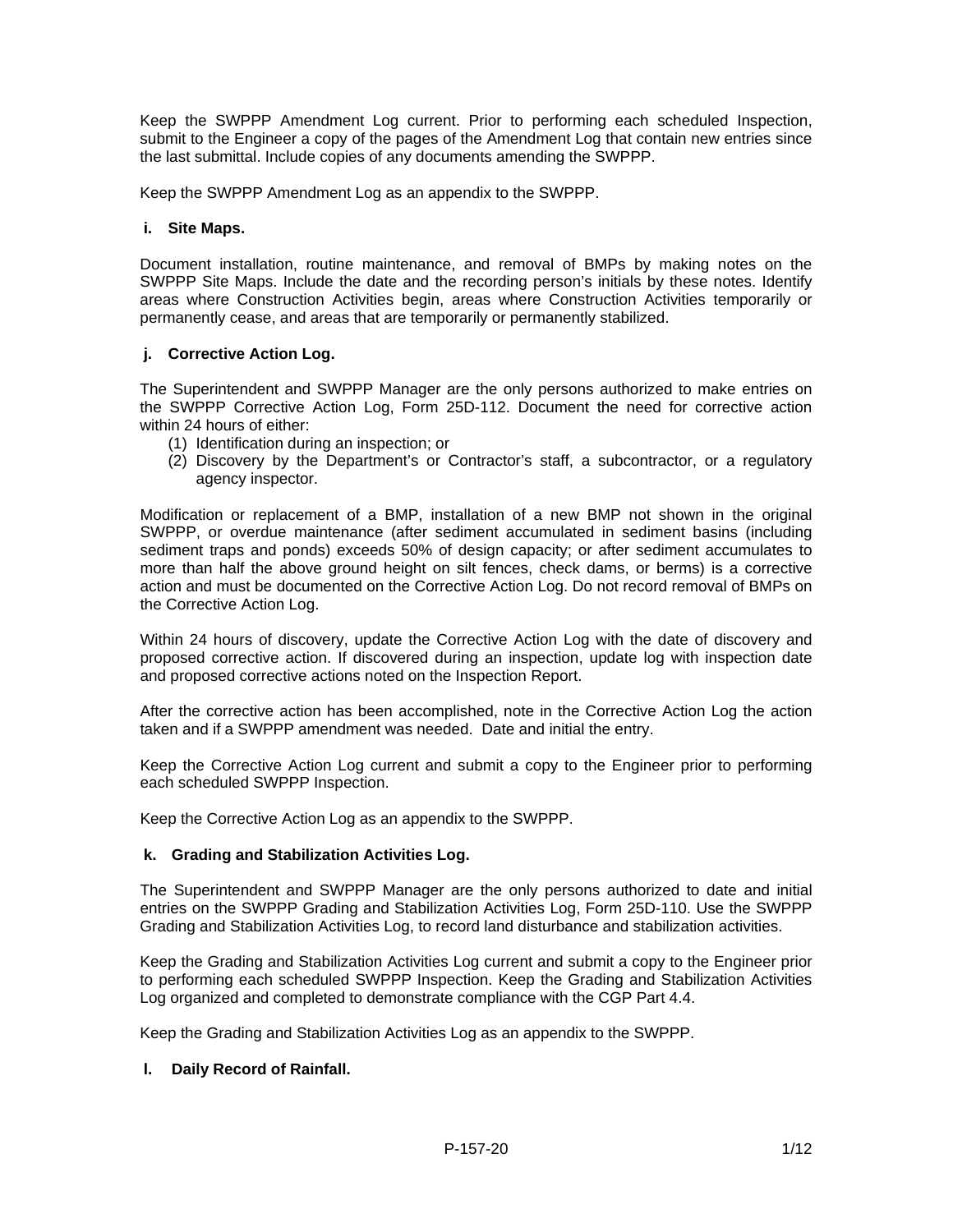Keep the SWPPP Amendment Log current. Prior to performing each scheduled Inspection, submit to the Engineer a copy of the pages of the Amendment Log that contain new entries since the last submittal. Include copies of any documents amending the SWPPP.

Keep the SWPPP Amendment Log as an appendix to the SWPPP.

## **i. Site Maps.**

Document installation, routine maintenance, and removal of BMPs by making notes on the SWPPP Site Maps. Include the date and the recording person's initials by these notes. Identify areas where Construction Activities begin, areas where Construction Activities temporarily or permanently cease, and areas that are temporarily or permanently stabilized.

## **j. Corrective Action Log.**

The Superintendent and SWPPP Manager are the only persons authorized to make entries on the SWPPP Corrective Action Log, Form 25D-112. Document the need for corrective action within 24 hours of either:

- (1) Identification during an inspection; or
- (2) Discovery by the Department's or Contractor's staff, a subcontractor, or a regulatory agency inspector.

Modification or replacement of a BMP, installation of a new BMP not shown in the original SWPPP, or overdue maintenance (after sediment accumulated in sediment basins (including sediment traps and ponds) exceeds 50% of design capacity; or after sediment accumulates to more than half the above ground height on silt fences, check dams, or berms) is a corrective action and must be documented on the Corrective Action Log. Do not record removal of BMPs on the Corrective Action Log.

Within 24 hours of discovery, update the Corrective Action Log with the date of discovery and proposed corrective action. If discovered during an inspection, update log with inspection date and proposed corrective actions noted on the Inspection Report.

After the corrective action has been accomplished, note in the Corrective Action Log the action taken and if a SWPPP amendment was needed. Date and initial the entry.

Keep the Corrective Action Log current and submit a copy to the Engineer prior to performing each scheduled SWPPP Inspection.

Keep the Corrective Action Log as an appendix to the SWPPP.

# **k. Grading and Stabilization Activities Log.**

The Superintendent and SWPPP Manager are the only persons authorized to date and initial entries on the SWPPP Grading and Stabilization Activities Log, Form 25D-110. Use the SWPPP Grading and Stabilization Activities Log, to record land disturbance and stabilization activities.

Keep the Grading and Stabilization Activities Log current and submit a copy to the Engineer prior to performing each scheduled SWPPP Inspection. Keep the Grading and Stabilization Activities Log organized and completed to demonstrate compliance with the CGP Part 4.4.

Keep the Grading and Stabilization Activities Log as an appendix to the SWPPP.

# **l. Daily Record of Rainfall.**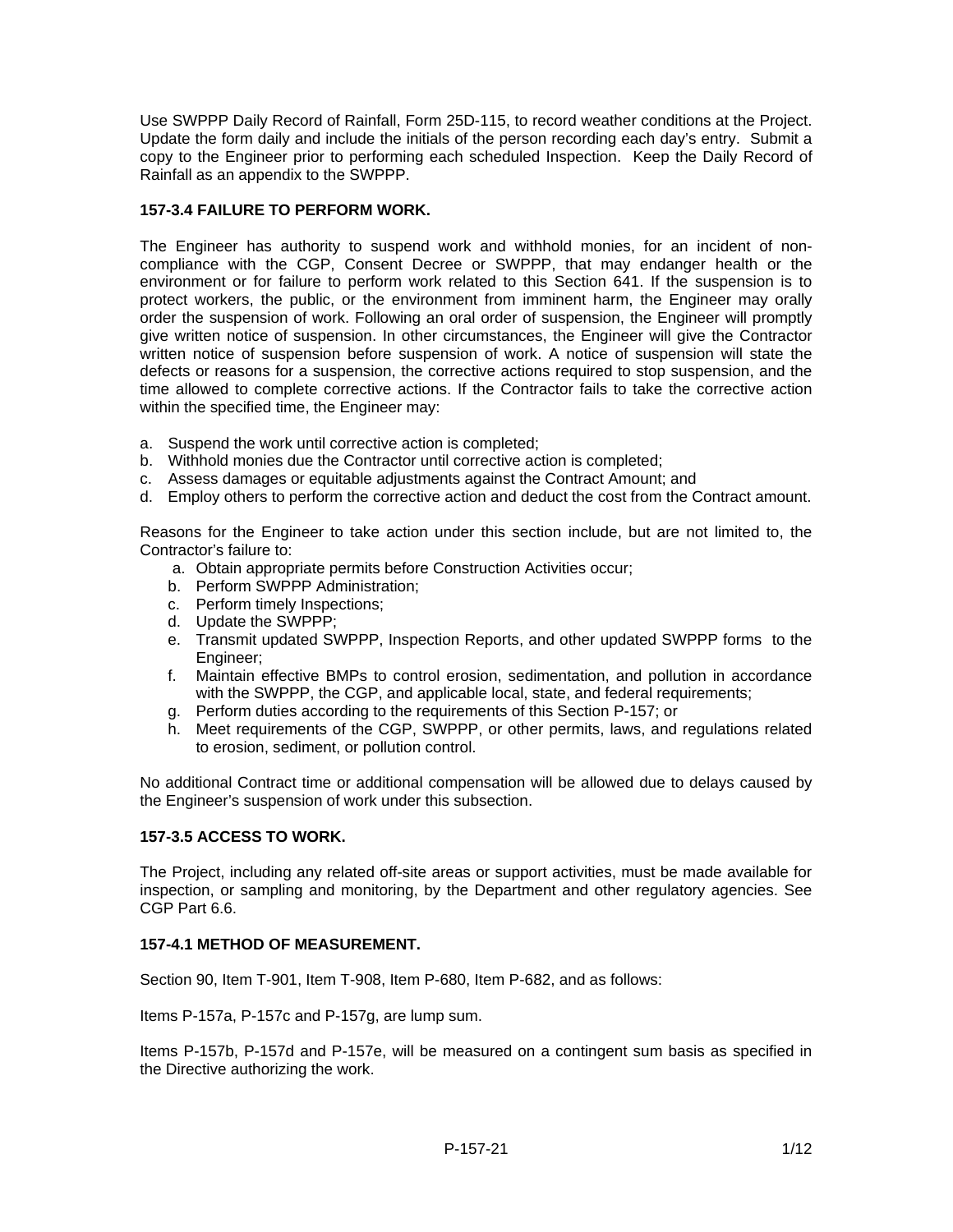Use SWPPP Daily Record of Rainfall, Form 25D-115, to record weather conditions at the Project. Update the form daily and include the initials of the person recording each day's entry. Submit a copy to the Engineer prior to performing each scheduled Inspection. Keep the Daily Record of Rainfall as an appendix to the SWPPP.

# **157-3.4 FAILURE TO PERFORM WORK.**

The Engineer has authority to suspend work and withhold monies, for an incident of noncompliance with the CGP, Consent Decree or SWPPP, that may endanger health or the environment or for failure to perform work related to this Section 641. If the suspension is to protect workers, the public, or the environment from imminent harm, the Engineer may orally order the suspension of work. Following an oral order of suspension, the Engineer will promptly give written notice of suspension. In other circumstances, the Engineer will give the Contractor written notice of suspension before suspension of work. A notice of suspension will state the defects or reasons for a suspension, the corrective actions required to stop suspension, and the time allowed to complete corrective actions. If the Contractor fails to take the corrective action within the specified time, the Engineer may:

- a. Suspend the work until corrective action is completed;
- b. Withhold monies due the Contractor until corrective action is completed;
- c. Assess damages or equitable adjustments against the Contract Amount; and
- d. Employ others to perform the corrective action and deduct the cost from the Contract amount.

Reasons for the Engineer to take action under this section include, but are not limited to, the Contractor's failure to:

- a. Obtain appropriate permits before Construction Activities occur;
- b. Perform SWPPP Administration;
- c. Perform timely Inspections;
- d. Update the SWPPP;
- e. Transmit updated SWPPP, Inspection Reports, and other updated SWPPP forms to the Engineer;
- f. Maintain effective BMPs to control erosion, sedimentation, and pollution in accordance with the SWPPP, the CGP, and applicable local, state, and federal requirements;
- g. Perform duties according to the requirements of this Section P-157; or
- h. Meet requirements of the CGP, SWPPP, or other permits, laws, and regulations related to erosion, sediment, or pollution control.

No additional Contract time or additional compensation will be allowed due to delays caused by the Engineer's suspension of work under this subsection.

# **157-3.5 ACCESS TO WORK.**

The Project, including any related off-site areas or support activities, must be made available for inspection, or sampling and monitoring, by the Department and other regulatory agencies. See CGP Part 6.6.

# **157-4.1 METHOD OF MEASUREMENT.**

Section 90, Item T-901, Item T-908, Item P-680, Item P-682, and as follows:

Items P-157a, P-157c and P-157g, are lump sum.

Items P-157b, P-157d and P-157e, will be measured on a contingent sum basis as specified in the Directive authorizing the work.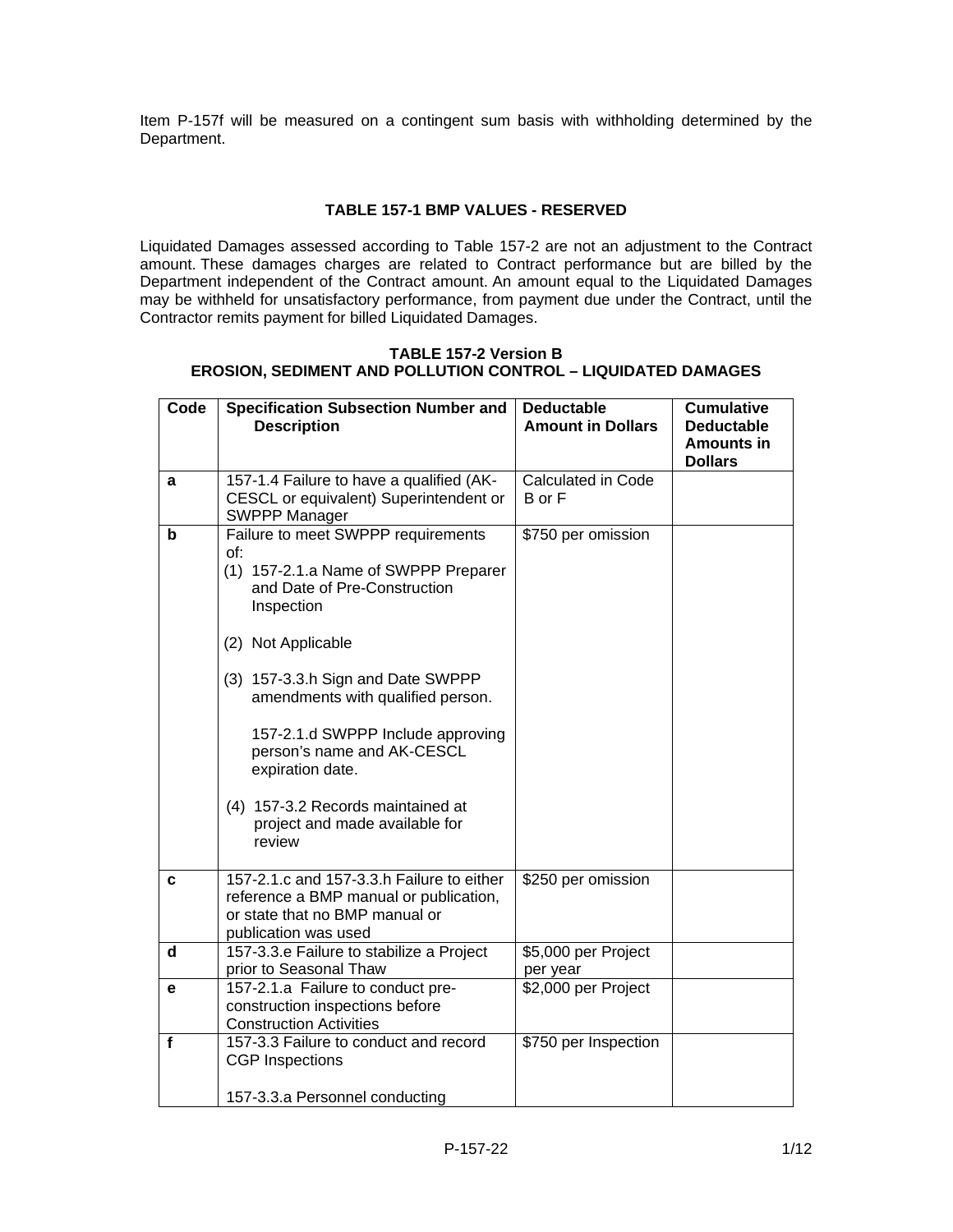Item P-157f will be measured on a contingent sum basis with withholding determined by the Department.

# **TABLE 157-1 BMP VALUES - RESERVED**

Liquidated Damages assessed according to Table 157-2 are not an adjustment to the Contract amount. These damages charges are related to Contract performance but are billed by the Department independent of the Contract amount. An amount equal to the Liquidated Damages may be withheld for unsatisfactory performance, from payment due under the Contract, until the Contractor remits payment for billed Liquidated Damages.

#### **TABLE 157-2 Version B EROSION, SEDIMENT AND POLLUTION CONTROL – LIQUIDATED DAMAGES**

| Code        | <b>Specification Subsection Number and</b><br><b>Description</b>                                                                                                                                                                                                                                                                                                                                        | <b>Deductable</b><br><b>Amount in Dollars</b> | <b>Cumulative</b><br><b>Deductable</b><br><b>Amounts in</b><br><b>Dollars</b> |
|-------------|---------------------------------------------------------------------------------------------------------------------------------------------------------------------------------------------------------------------------------------------------------------------------------------------------------------------------------------------------------------------------------------------------------|-----------------------------------------------|-------------------------------------------------------------------------------|
| a           | 157-1.4 Failure to have a qualified (AK-<br>CESCL or equivalent) Superintendent or<br><b>SWPPP Manager</b>                                                                                                                                                                                                                                                                                              | Calculated in Code<br>B or F                  |                                                                               |
| b           | Failure to meet SWPPP requirements<br>of:<br>(1) 157-2.1.a Name of SWPPP Preparer<br>and Date of Pre-Construction<br>Inspection<br>(2) Not Applicable<br>(3) 157-3.3.h Sign and Date SWPPP<br>amendments with qualified person.<br>157-2.1.d SWPPP Include approving<br>person's name and AK-CESCL<br>expiration date.<br>(4) 157-3.2 Records maintained at<br>project and made available for<br>review | \$750 per omission                            |                                                                               |
| c           | 157-2.1.c and 157-3.3.h Failure to either<br>reference a BMP manual or publication,<br>or state that no BMP manual or<br>publication was used                                                                                                                                                                                                                                                           | \$250 per omission                            |                                                                               |
| d           | 157-3.3.e Failure to stabilize a Project<br>prior to Seasonal Thaw                                                                                                                                                                                                                                                                                                                                      | \$5,000 per Project<br>per year               |                                                                               |
| е           | 157-2.1.a Failure to conduct pre-<br>construction inspections before<br><b>Construction Activities</b>                                                                                                                                                                                                                                                                                                  | \$2,000 per Project                           |                                                                               |
| $\mathbf f$ | 157-3.3 Failure to conduct and record<br><b>CGP</b> Inspections<br>157-3.3.a Personnel conducting                                                                                                                                                                                                                                                                                                       | \$750 per Inspection                          |                                                                               |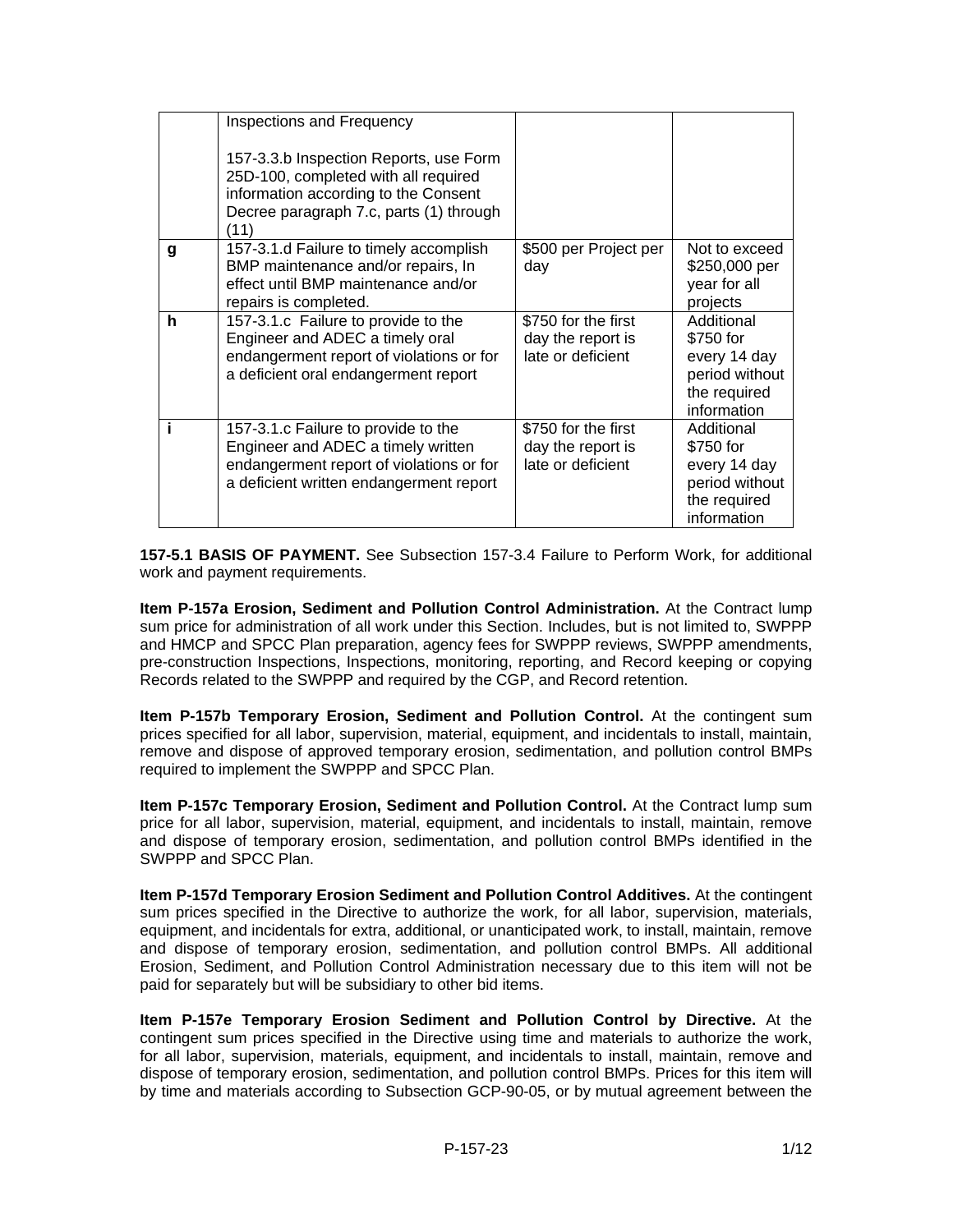|   | Inspections and Frequency<br>157-3.3.b Inspection Reports, use Form<br>25D-100, completed with all required<br>information according to the Consent<br>Decree paragraph 7.c, parts (1) through<br>(11) |                                                               |                                                                                          |
|---|--------------------------------------------------------------------------------------------------------------------------------------------------------------------------------------------------------|---------------------------------------------------------------|------------------------------------------------------------------------------------------|
| g | 157-3.1.d Failure to timely accomplish<br>BMP maintenance and/or repairs, In<br>effect until BMP maintenance and/or<br>repairs is completed.                                                           | \$500 per Project per<br>day                                  | Not to exceed<br>\$250,000 per<br>year for all<br>projects                               |
| h | 157-3.1.c Failure to provide to the<br>Engineer and ADEC a timely oral<br>endangerment report of violations or for<br>a deficient oral endangerment report                                             | \$750 for the first<br>day the report is<br>late or deficient | Additional<br>\$750 for<br>every 14 day<br>period without<br>the required<br>information |
|   | 157-3.1.c Failure to provide to the<br>Engineer and ADEC a timely written<br>endangerment report of violations or for<br>a deficient written endangerment report                                       | \$750 for the first<br>day the report is<br>late or deficient | Additional<br>\$750 for<br>every 14 day<br>period without<br>the required<br>information |

**157-5.1 BASIS OF PAYMENT.** See Subsection 157-3.4 Failure to Perform Work, for additional work and payment requirements.

**Item P-157a Erosion, Sediment and Pollution Control Administration.** At the Contract lump sum price for administration of all work under this Section. Includes, but is not limited to, SWPPP and HMCP and SPCC Plan preparation, agency fees for SWPPP reviews, SWPPP amendments, pre-construction Inspections, Inspections, monitoring, reporting, and Record keeping or copying Records related to the SWPPP and required by the CGP, and Record retention.

**Item P-157b Temporary Erosion, Sediment and Pollution Control.** At the contingent sum prices specified for all labor, supervision, material, equipment, and incidentals to install, maintain, remove and dispose of approved temporary erosion, sedimentation, and pollution control BMPs required to implement the SWPPP and SPCC Plan.

**Item P-157c Temporary Erosion, Sediment and Pollution Control.** At the Contract lump sum price for all labor, supervision, material, equipment, and incidentals to install, maintain, remove and dispose of temporary erosion, sedimentation, and pollution control BMPs identified in the SWPPP and SPCC Plan.

**Item P-157d Temporary Erosion Sediment and Pollution Control Additives.** At the contingent sum prices specified in the Directive to authorize the work, for all labor, supervision, materials, equipment, and incidentals for extra, additional, or unanticipated work, to install, maintain, remove and dispose of temporary erosion, sedimentation, and pollution control BMPs. All additional Erosion, Sediment, and Pollution Control Administration necessary due to this item will not be paid for separately but will be subsidiary to other bid items.

**Item P-157e Temporary Erosion Sediment and Pollution Control by Directive.** At the contingent sum prices specified in the Directive using time and materials to authorize the work, for all labor, supervision, materials, equipment, and incidentals to install, maintain, remove and dispose of temporary erosion, sedimentation, and pollution control BMPs. Prices for this item will by time and materials according to Subsection GCP-90-05, or by mutual agreement between the